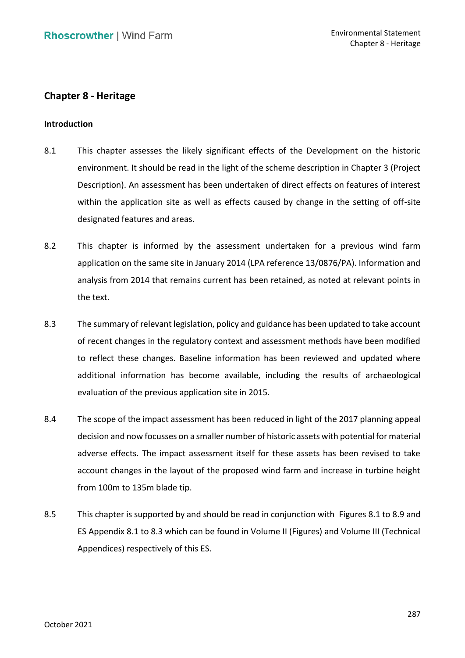# **Chapter 8 - Heritage**

# **Introduction**

- 8.1 This chapter assesses the likely significant effects of the Development on the historic environment. It should be read in the light of the scheme description in Chapter 3 (Project Description). An assessment has been undertaken of direct effects on features of interest within the application site as well as effects caused by change in the setting of off-site designated features and areas.
- 8.2 This chapter is informed by the assessment undertaken for a previous wind farm application on the same site in January 2014 (LPA reference 13/0876/PA). Information and analysis from 2014 that remains current has been retained, as noted at relevant points in the text.
- 8.3 The summary of relevant legislation, policy and guidance has been updated to take account of recent changes in the regulatory context and assessment methods have been modified to reflect these changes. Baseline information has been reviewed and updated where evaluation of the previous application site in 2015. additional information has become available, including the results of archaeological
- 8.4 The scope of the impact assessment has been reduced in light of the 2017 planning appeal decision and now focusses on a smaller number of historic assets with potential for material adverse effects. The impact assessment itself for these assets has been revised to take account changes in the layout of the proposed wind farm and increase in turbine height from 100m to 135m blade tip.
- 8.5 This chapter is supported by and should be read in conjunction with Figures 8.1 to 8.9 and ES Appendix 8.1 to 8.3 which can be found in Volume II (Figures) and Volume III (Technical Appendices) respectively of this ES.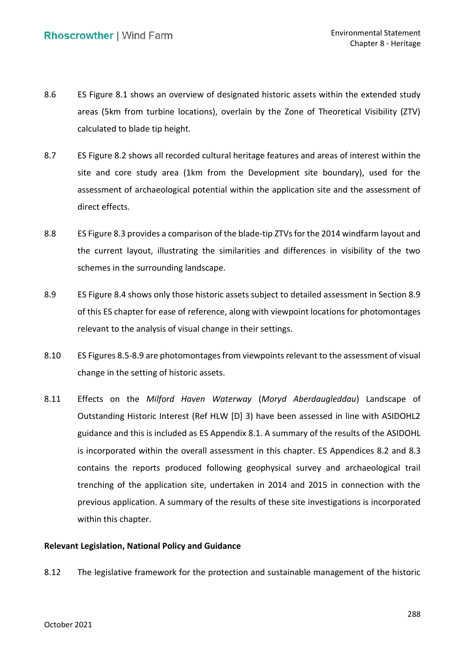- 8.6 ES Figure 8.1 shows an overview of designated historic assets within the extended study calculated to blade tip height. areas (5km from turbine locations), overlain by the Zone of Theoretical Visibility (ZTV)
- 8.7 ES Figure 8.2 shows all recorded cultural heritage features and areas of interest within the site and core study area (1km from the Development site boundary), used for the assessment of archaeological potential within the application site and the assessment of direct effects.
- 8.8 ES Figure 8.3 provides a comparison of the blade-tip ZTVs for the 2014 windfarm layout and the current layout, illustrating the similarities and differences in visibility of the two schemes in the surrounding landscape.
- 8.9 ES Figure 8.4 shows only those historic assets subject to detailed assessment in Section 8.9 of this ES chapter for ease of reference, along with viewpoint locations for photomontages relevant to the analysis of visual change in their settings.
- 8.10 ES Figures 8.5-8.9 are photomontages from viewpoints relevant to the assessment of visual change in the setting of historic assets.
- Outstanding Historic Interest (Ref HLW [D] 3) have been assessed in line with ASIDOHL2 guidance and this is included as ES Appendix 8.1. A summary of the results of the ASIDOHL is incorporated within the overall assessment in this chapter. ES Appendices 8.2 and 8.3 trenching of the application site, undertaken in 2014 and 2015 in connection with the previous application. A summary of the results of these site investigations is incorporated within this chapter. 8.11 Effects on the *Milford Haven Waterway* (*Moryd Aberdaugleddau*) Landscape of contains the reports produced following geophysical survey and archaeological trail

# **Relevant Legislation, National Policy and Guidance**

8.12 The legislative framework for the protection and sustainable management of the historic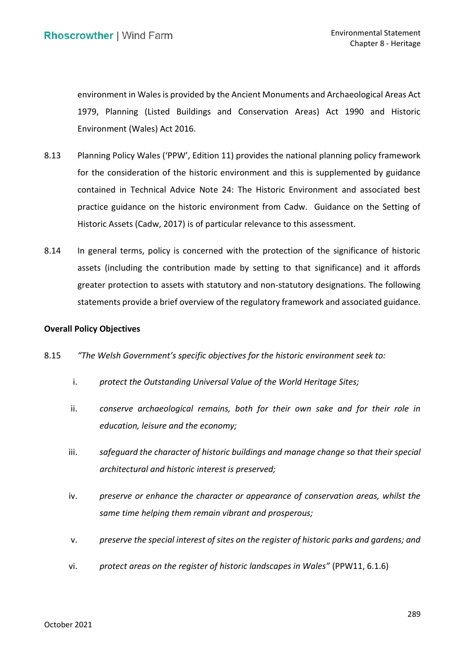environment in Wales is provided by the Ancient Monuments and Archaeological Areas Act 1979, Planning (Listed Buildings and Conservation Areas) Act 1990 and Historic Environment (Wales) Act 2016.

- 8.13 Planning Policy Wales ('PPW', Edition 11) provides the national planning policy framework for the consideration of the historic environment and this is supplemented by guidance contained in Technical Advice Note 24: The Historic Environment and associated best practice guidance on the historic environment from Cadw. Guidance on the Setting of Historic Assets (Cadw, 2017) is of particular relevance to this assessment.
- 8.14 In general terms, policy is concerned with the protection of the significance of historic assets (including the contribution made by setting to that significance) and it affords greater protection to assets with statutory and non-statutory designations. The following statements provide a brief overview of the regulatory framework and associated guidance.

## **Overall Policy Objectives**

- 8.15 *"The Welsh Government's specific objectives for the historic environment seek to:* 
	- i. *protect the Outstanding Universal Value of the World Heritage Sites;*
	- ii. *conserve archaeological remains, both for their own sake and for their role in education, leisure and the economy;*
	- iii. *safeguard the character of historic buildings and manage change so that their special architectural and historic interest is preserved;*
	- iv. *preserve or enhance the character or appearance of conservation areas, whilst the same time helping them remain vibrant and prosperous;*
	- v. *preserve the special interest of sites on the register of historic parks and gardens; and*
	- vi. *protect areas on the register of historic landscapes in Wales"* (PPW11, 6.1.6)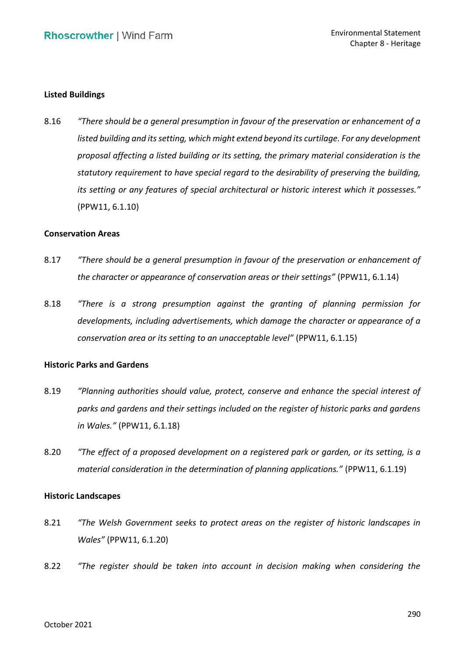## **Listed Buildings**

 8.16 *"There should be a general presumption in favour of the preservation or enhancement of a listed building and its setting, which might extend beyond its curtilage. For any development proposal affecting a listed building or its setting, the primary material consideration is the statutory requirement to have special regard to the desirability of preserving the building, its setting or any features of special architectural or historic interest which it possesses."* (PPW11, 6.1.10)

#### **Conservation Areas**

- 8.17 *"There should be a general presumption in favour of the preservation or enhancement of the character or appearance of conservation areas or their settings"* (PPW11, 6.1.14)
- 8.18 *"There is a strong presumption against the granting of planning permission for developments, including advertisements, which damage the character or appearance of a conservation area or its setting to an unacceptable level"* (PPW11, 6.1.15)

# **Historic Parks and Gardens**

- 8.19 *"Planning authorities should value, protect, conserve and enhance the special interest of parks and gardens and their settings included on the register of historic parks and gardens in Wales."* (PPW11, 6.1.18)
- 8.20 *"The effect of a proposed development on a registered park or garden, or its setting, is a material consideration in the determination of planning applications."* (PPW11, 6.1.19)

#### **Historic Landscapes**

- 8.21 *"The Welsh Government seeks to protect areas on the register of historic landscapes in Wales"* (PPW11, 6.1.20)
- 8.22 *"The register should be taken into account in decision making when considering the*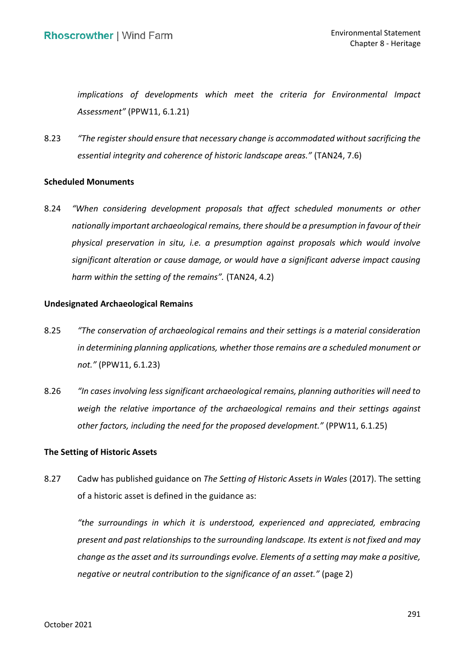*implications of developments which meet the criteria for Environmental Impact Assessment"* (PPW11, 6.1.21)

 8.23 *"The register should ensure that necessary change is accommodated withoutsacrificing the essential integrity and coherence of historic landscape areas."* (TAN24, 7.6)

# **Scheduled Monuments**

 8.24 *"When considering development proposals that affect scheduled monuments or other nationally important archaeological remains, there should be a presumption in favour of their physical preservation in situ, i.e. a presumption against proposals which would involve significant alteration or cause damage, or would have a significant adverse impact causing harm within the setting of the remains".* (TAN24, 4.2)

### **Undesignated Archaeological Remains**

- 8.25 *"The conservation of archaeological remains and their settings is a material consideration in determining planning applications, whether those remains are a scheduled monument or not."* (PPW11, 6.1.23)
- 8.26 *"In cases involving less significant archaeological remains, planning authorities will need to* weigh the relative importance of the archaeological remains and their settings against  *other factors, including the need for the proposed development."* (PPW11, 6.1.25)

# **The Setting of Historic Assets**

 8.27 Cadw has published guidance on *The Setting of Historic Assets in Wales* (2017). The setting of a historic asset is defined in the guidance as:

 *"the surroundings in which it is understood, experienced and appreciated, embracing present and past relationships to the surrounding landscape. Its extent is not fixed and may change as the asset and its surroundings evolve. Elements of a setting may make a positive, negative or neutral contribution to the significance of an asset."* (page 2)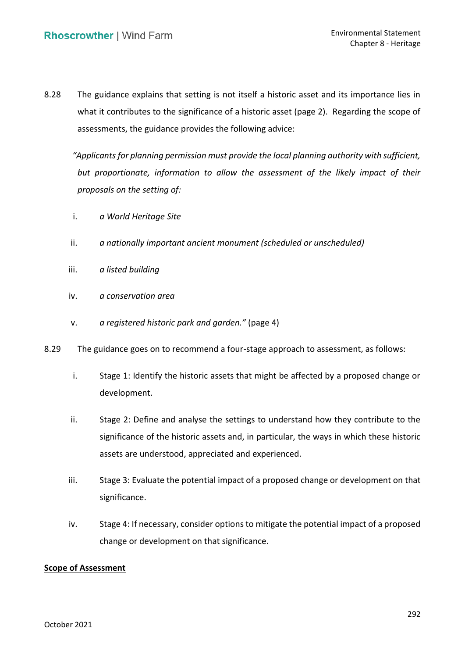8.28 The guidance explains that setting is not itself a historic asset and its importance lies in what it contributes to the significance of a historic asset (page 2). Regarding the scope of assessments, the guidance provides the following advice:

 *"Applicants for planning permission must provide the local planning authority with sufficient,* but proportionate, information to allow the assessment of the likely impact of their  *proposals on the setting of:* 

- i. *a World Heritage Site*
- ii. *a nationally important ancient monument (scheduled or unscheduled)*
- iii. *a listed building*
- iv. *a conservation area*
- v. *a registered historic park and garden."* (page 4)
- 8.29 The guidance goes on to recommend a four-stage approach to assessment, as follows:
	- i. Stage 1: Identify the historic assets that might be affected by a proposed change or development.
	- ii. Stage 2: Define and analyse the settings to understand how they contribute to the significance of the historic assets and, in particular, the ways in which these historic assets are understood, appreciated and experienced.
	- iii. Stage 3: Evaluate the potential impact of a proposed change or development on that significance.
	- iv. Stage 4: If necessary, consider options to mitigate the potential impact of a proposed change or development on that significance.

# **Scope of Assessment**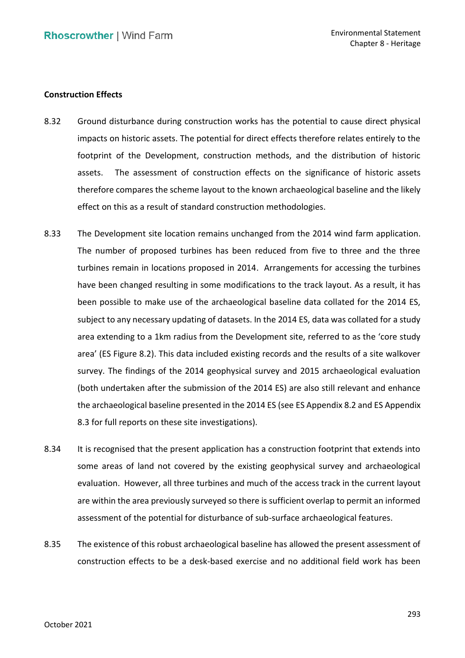## **Construction Effects**

- 8.32 Ground disturbance during construction works has the potential to cause direct physical impacts on historic assets. The potential for direct effects therefore relates entirely to the footprint of the Development, construction methods, and the distribution of historic assets. therefore compares the scheme layout to the known archaeological baseline and the likely effect on this as a result of standard construction methodologies. The assessment of construction effects on the significance of historic assets
- The number of proposed turbines has been reduced from five to three and the three turbines remain in locations proposed in 2014. Arrangements for accessing the turbines have been changed resulting in some modifications to the track layout. As a result, it has been possible to make use of the archaeological baseline data collated for the 2014 ES, subject to any necessary updating of datasets. In the 2014 ES, data was collated for a study area extending to a 1km radius from the Development site, referred to as the 'core study area' (ES Figure 8.2). This data included existing records and the results of a site walkover survey. The findings of the 2014 geophysical survey and 2015 archaeological evaluation (both undertaken after the submission of the 2014 ES) are also still relevant and enhance the archaeological baseline presented in the 2014 ES (see ES Appendix 8.2 and ES Appendix 8.3 for full reports on these site investigations). 8.33 The Development site location remains unchanged from the 2014 wind farm application.
- 8.34 It is recognised that the present application has a construction footprint that extends into some areas of land not covered by the existing geophysical survey and archaeological evaluation. However, all three turbines and much of the access track in the current layout are within the area previously surveyed so there is sufficient overlap to permit an informed assessment of the potential for disturbance of sub-surface archaeological features.
- 8.35 The existence of this robust archaeological baseline has allowed the present assessment of construction effects to be a desk-based exercise and no additional field work has been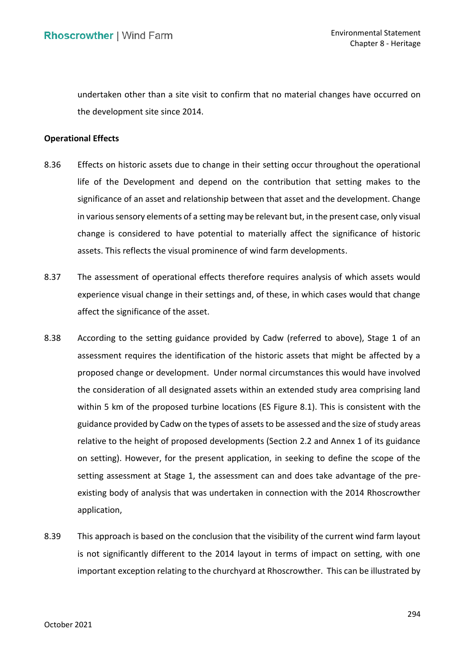undertaken other than a site visit to confirm that no material changes have occurred on the development site since 2014.

## **Operational Effects**

- 8.36 Effects on historic assets due to change in their setting occur throughout the operational life of the Development and depend on the contribution that setting makes to the significance of an asset and relationship between that asset and the development. Change in various sensory elements of a setting may be relevant but, in the present case, only visual change is considered to have potential to materially affect the significance of historic assets. This reflects the visual prominence of wind farm developments.
- 8.37 The assessment of operational effects therefore requires analysis of which assets would experience visual change in their settings and, of these, in which cases would that change affect the significance of the asset.
- 8.38 According to the setting guidance provided by Cadw (referred to above), Stage 1 of an assessment requires the identification of the historic assets that might be affected by a proposed change or development. Under normal circumstances this would have involved the consideration of all designated assets within an extended study area comprising land within 5 km of the proposed turbine locations (ES Figure 8.1). This is consistent with the guidance provided by Cadw on the types of assets to be assessed and the size of study areas relative to the height of proposed developments (Section 2.2 and Annex 1 of its guidance on setting). However, for the present application, in seeking to define the scope of the setting assessment at Stage 1, the assessment can and does take advantage of the pre- existing body of analysis that was undertaken in connection with the 2014 Rhoscrowther application,
- application,<br>8.39 This approach is based on the conclusion that the visibility of the current wind farm layout is not significantly different to the 2014 layout in terms of impact on setting, with one important exception relating to the churchyard at Rhoscrowther. This can be illustrated by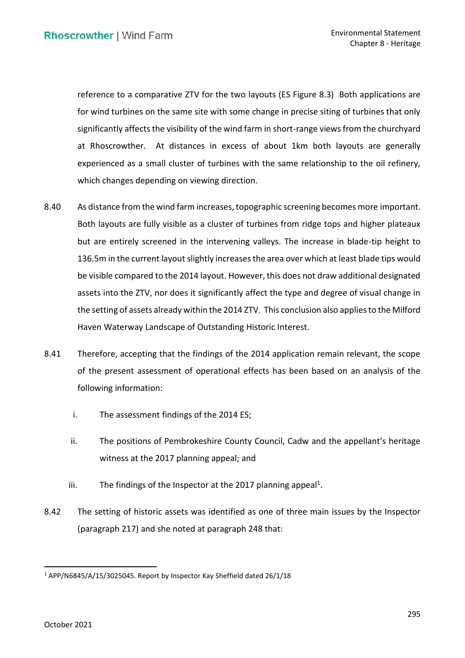reference to a comparative ZTV for the two layouts (ES Figure 8.3) Both applications are for wind turbines on the same site with some change in precise siting of turbines that only significantly affects the visibility of the wind farm in short-range views from the churchyard at Rhoscrowther. At distances in excess of about 1km both layouts are generally experienced as a small cluster of turbines with the same relationship to the oil refinery, which changes depending on viewing direction.

- 8.40 As distance from the wind farm increases, topographic screening becomes more important. Both layouts are fully visible as a cluster of turbines from ridge tops and higher plateaux but are entirely screened in the intervening valleys. The increase in blade-tip height to 136.5m in the current layout slightly increases the area over which at least blade tips would be visible compared to the 2014 layout. However, this does not draw additional designated assets into the ZTV, nor does it significantly affect the type and degree of visual change in Haven Waterway Landscape of Outstanding Historic Interest. the setting of assets already within the 2014 ZTV. This conclusion also applies to the Milford
- 8.41 Therefore, accepting that the findings of the 2014 application remain relevant, the scope of the present assessment of operational effects has been based on an analysis of the following information:
	- i. The assessment findings of the 2014 ES;
	- ii. The positions of Pembrokeshire County Council, Cadw and the appellant's heritage witness at the 2017 planning appeal; and
	- iii. The findings of the Inspector at the 2017 planning appeal<sup>1</sup>.
- 8.42 The setting of historic assets was identified as one of three main issues by the Inspector (paragraph 217) and she noted at paragraph 248 that:

<sup>1</sup> APP/N6845/A/15/3025045. Report by Inspector Kay Sheffield dated 26/1/18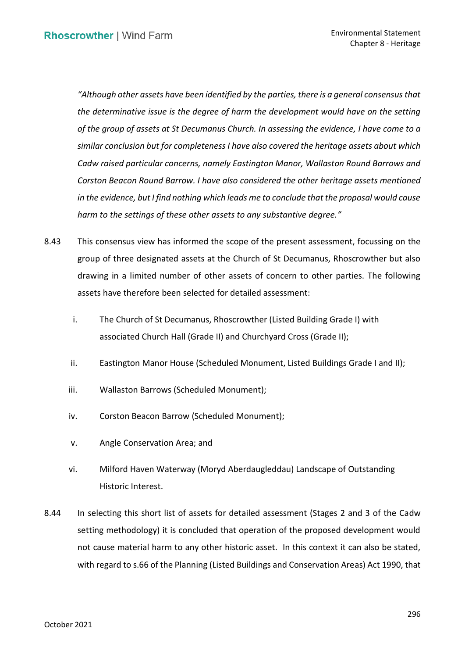*"Although other assets have been identified by the parties, there is a general consensus that the determinative issue is the degree of harm the development would have on the setting of the group of assets at St Decumanus Church. In assessing the evidence, I have come to a similar conclusion but for completeness I have also covered the heritage assets about which Cadw raised particular concerns, namely Eastington Manor, Wallaston Round Barrows and Corston Beacon Round Barrow. I have also considered the other heritage assets mentioned in the evidence, but I find nothing which leads me to conclude that the proposal would cause harm to the settings of these other assets to any substantive degree."*

- 8.43 This consensus view has informed the scope of the present assessment, focussing on the group of three designated assets at the Church of St Decumanus, Rhoscrowther but also drawing in a limited number of other assets of concern to other parties. The following assets have therefore been selected for detailed assessment:
	- i. The Church of St Decumanus, Rhoscrowther (Listed Building Grade I) with associated Church Hall (Grade II) and Churchyard Cross (Grade II);
	- ii. Eastington Manor House (Scheduled Monument, Listed Buildings Grade I and II);
	- iii. Wallaston Barrows (Scheduled Monument);
	- iv. Corston Beacon Barrow (Scheduled Monument);
	- v. Angle Conservation Area; and
	- vi. Milford Haven Waterway (Moryd Aberdaugleddau) Landscape of Outstanding Historic Interest.
- 8.44 In selecting this short list of assets for detailed assessment (Stages 2 and 3 of the Cadw setting methodology) it is concluded that operation of the proposed development would not cause material harm to any other historic asset. In this context it can also be stated, with regard to s.66 of the Planning (Listed Buildings and Conservation Areas) Act 1990, that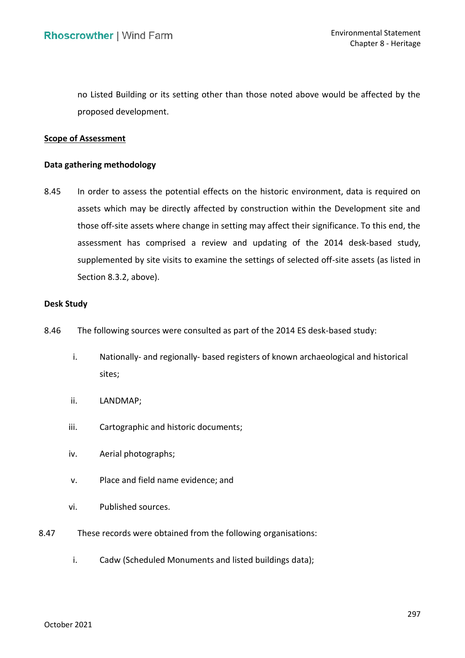no Listed Building or its setting other than those noted above would be affected by the proposed development.

# **Scope of Assessment**

### **Data gathering methodology**

8.45 In order to assess the potential effects on the historic environment, data is required on assets which may be directly affected by construction within the Development site and those off-site assets where change in setting may affect their significance. To this end, the assessment has comprised a review and updating of the 2014 desk-based study, supplemented by site visits to examine the settings of selected off-site assets (as listed in Section 8.3.2, above).

# **Desk Study**

- 8.46 The following sources were consulted as part of the 2014 ES desk-based study:
	- i. Nationally- and regionally- based registers of known archaeological and historical sites;
	- ii. LANDMAP;
	- iii. Cartographic and historic documents;
	- iv. Aerial photographs;
	- v. Place and field name evidence; and
	- vi. Published sources.
- 8.47 These records were obtained from the following organisations:
	- i. Cadw (Scheduled Monuments and listed buildings data);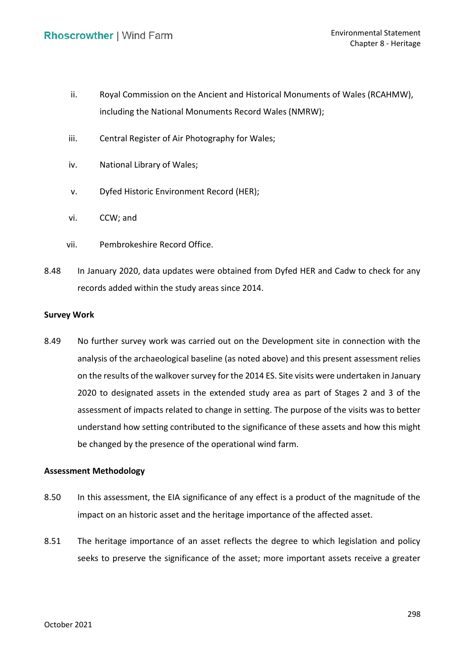- ii. Royal Commission on the Ancient and Historical Monuments of Wales (RCAHMW), including the National Monuments Record Wales (NMRW);
- iii. Central Register of Air Photography for Wales;
- iv. National Library of Wales;
- v. Dyfed Historic Environment Record (HER);
- vi. CCW; and
- vii. Pembrokeshire Record Office.
- 8.48 In January 2020, data updates were obtained from Dyfed HER and Cadw to check for any records added within the study areas since 2014.

### **Survey Work**

 8.49 No further survey work was carried out on the Development site in connection with the analysis of the archaeological baseline (as noted above) and this present assessment relies on the results of the walkover survey for the 2014 ES. Site visits were undertaken in January 2020 to designated assets in the extended study area as part of Stages 2 and 3 of the assessment of impacts related to change in setting. The purpose of the visits was to better understand how setting contributed to the significance of these assets and how this might be changed by the presence of the operational wind farm.

#### **Assessment Methodology**

- 8.50 In this assessment, the EIA significance of any effect is a product of the magnitude of the impact on an historic asset and the heritage importance of the affected asset.
- 8.51 The heritage importance of an asset reflects the degree to which legislation and policy seeks to preserve the significance of the asset; more important assets receive a greater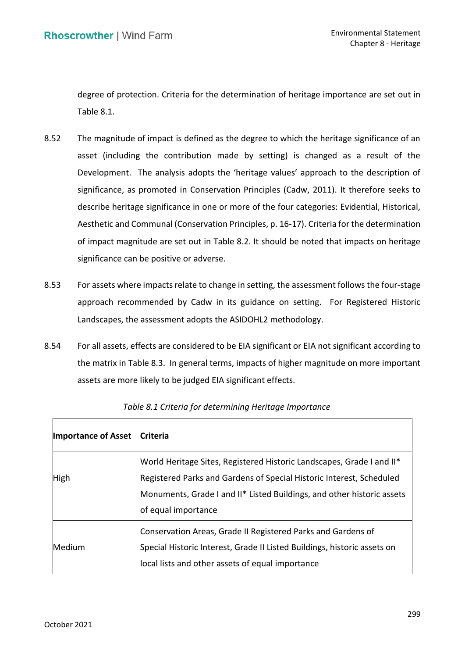degree of protection. Criteria for the determination of heritage importance are set out in Table 8.1.

- 8.52 The magnitude of impact is defined as the degree to which the heritage significance of an asset (including the contribution made by setting) is changed as a result of the Development. The analysis adopts the 'heritage values' approach to the description of significance, as promoted in Conservation Principles (Cadw, 2011). It therefore seeks to describe heritage significance in one or more of the four categories: Evidential, Historical, Aesthetic and Communal (Conservation Principles, p. 16-17). Criteria for the determination of impact magnitude are set out in Table 8.2. It should be noted that impacts on heritage significance can be positive or adverse.
- 8.53 For assets where impacts relate to change in setting, the assessment follows the four-stage approach recommended by Cadw in its guidance on setting. For Registered Historic Landscapes, the assessment adopts the ASIDOHL2 methodology.
- 8.54 For all assets, effects are considered to be EIA significant or EIA not significant according to the matrix in Table 8.3. In general terms, impacts of higher magnitude on more important assets are more likely to be judged EIA significant effects.

| <b>Importance of Asset</b> | <b>Criteria</b>                                                          |
|----------------------------|--------------------------------------------------------------------------|
|                            | Morld Heritage Sites, Registered Historic Landscapes, Grade I and II*    |
| High                       | Registered Parks and Gardens of Special Historic Interest, Scheduled     |
|                            | Monuments, Grade I and II* Listed Buildings, and other historic assets   |
|                            | of equal importance                                                      |
|                            | Conservation Areas, Grade II Registered Parks and Gardens of             |
| Medium                     | Special Historic Interest, Grade II Listed Buildings, historic assets on |
|                            | local lists and other assets of equal importance                         |

|  | Table 8.1 Criteria for determining Heritage Importance |
|--|--------------------------------------------------------|
|--|--------------------------------------------------------|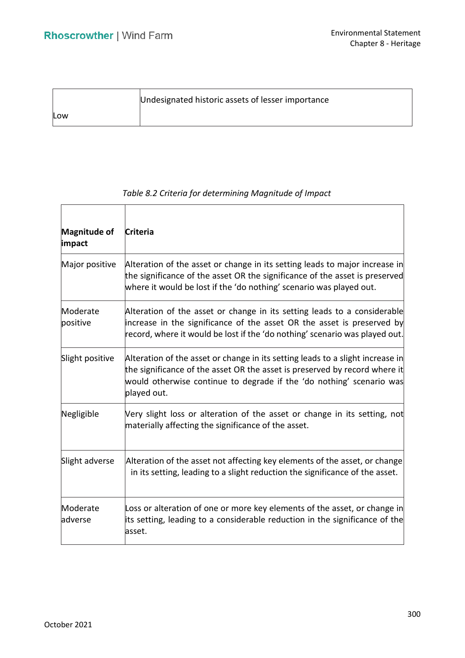|     | Undesignated historic assets of lesser importance |
|-----|---------------------------------------------------|
| Low |                                                   |

| Magnitude of<br>impact | <b>Criteria</b>                                                                                                                                                                                                                                     |
|------------------------|-----------------------------------------------------------------------------------------------------------------------------------------------------------------------------------------------------------------------------------------------------|
| Major positive         | Alteration of the asset or change in its setting leads to major increase in<br>the significance of the asset OR the significance of the asset is preserved<br>where it would be lost if the 'do nothing' scenario was played out.                   |
| Moderate<br>positive   | Alteration of the asset or change in its setting leads to a considerable<br>increase in the significance of the asset OR the asset is preserved by<br>record, where it would be lost if the 'do nothing' scenario was played out.                   |
| Slight positive        | Alteration of the asset or change in its setting leads to a slight increase in<br>the significance of the asset OR the asset is preserved by record where it<br>would otherwise continue to degrade if the 'do nothing' scenario was<br>played out. |
| Negligible             | Very slight loss or alteration of the asset or change in its setting, not<br>materially affecting the significance of the asset.                                                                                                                    |
| Slight adverse         | Alteration of the asset not affecting key elements of the asset, or change<br>in its setting, leading to a slight reduction the significance of the asset.                                                                                          |
| Moderate<br>adverse    | Loss or alteration of one or more key elements of the asset, or change in<br>its setting, leading to a considerable reduction in the significance of the<br>asset.                                                                                  |

# *Table 8.2 Criteria for determining Magnitude of Impact*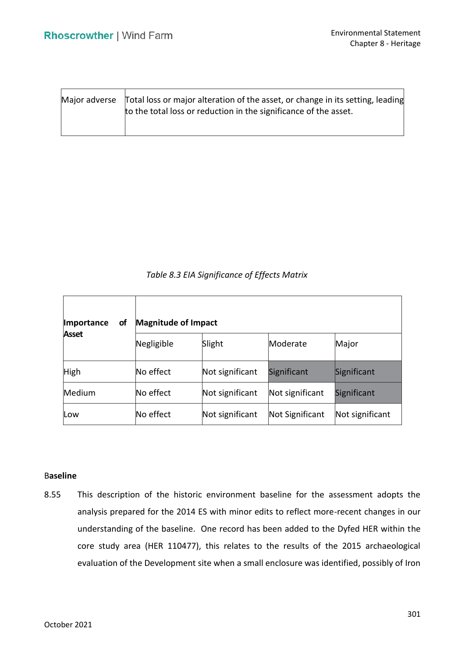|  | $\text{Major}$ adverse $\text{Total loss}$ or major alteration of the asset, or change in its setting, leading<br>to the total loss or reduction in the significance of the asset. |
|--|------------------------------------------------------------------------------------------------------------------------------------------------------------------------------------|
|--|------------------------------------------------------------------------------------------------------------------------------------------------------------------------------------|

*Table 8.3 EIA Significance of Effects Matrix* 

| Importance<br><b>of</b> | <b>Magnitude of Impact</b> |                 |                 |                 |  |
|-------------------------|----------------------------|-----------------|-----------------|-----------------|--|
| <b>Asset</b>            | Negligible                 | Slight          | Moderate        | Major           |  |
| High                    | No effect                  | Not significant | Significant     | Significant     |  |
| Medium                  | No effect                  | Not significant | Not significant | Significant     |  |
| Low                     | No effect                  | Not significant | Not Significant | Not significant |  |

# B**aseline**

 8.55 This description of the historic environment baseline for the assessment adopts the analysis prepared for the 2014 ES with minor edits to reflect more-recent changes in our understanding of the baseline. One record has been added to the Dyfed HER within the core study area (HER 110477), this relates to the results of the 2015 archaeological evaluation of the Development site when a small enclosure was identified, possibly of Iron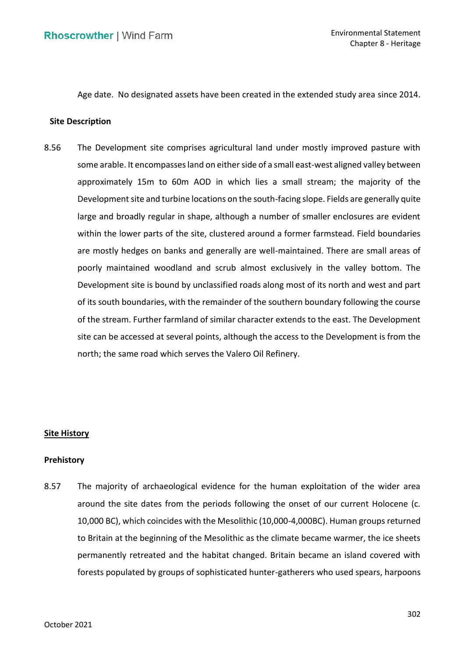Age date. No designated assets have been created in the extended study area since 2014.

#### **Site Description**

 8.56 The Development site comprises agricultural land under mostly improved pasture with some arable. It encompasses land on either side of a small east-west aligned valley between approximately 15m to 60m AOD in which lies a small stream; the majority of the Development site and turbine locations on the south-facing slope. Fields are generally quite large and broadly regular in shape, although a number of smaller enclosures are evident within the lower parts of the site, clustered around a former farmstead. Field boundaries are mostly hedges on banks and generally are well-maintained. There are small areas of poorly maintained woodland and scrub almost exclusively in the valley bottom. The Development site is bound by unclassified roads along most of its north and west and part of its south boundaries, with the remainder of the southern boundary following the course of the stream. Further farmland of similar character extends to the east. The Development site can be accessed at several points, although the access to the Development is from the north; the same road which serves the Valero Oil Refinery.

# **Site History**

# **Prehistory**

 8.57 The majority of archaeological evidence for the human exploitation of the wider area around the site dates from the periods following the onset of our current Holocene (c. 10,000 BC), which coincides with the Mesolithic (10,000-4,000BC). Human groups returned to Britain at the beginning of the Mesolithic as the climate became warmer, the ice sheets permanently retreated and the habitat changed. Britain became an island covered with forests populated by groups of sophisticated hunter-gatherers who used spears, harpoons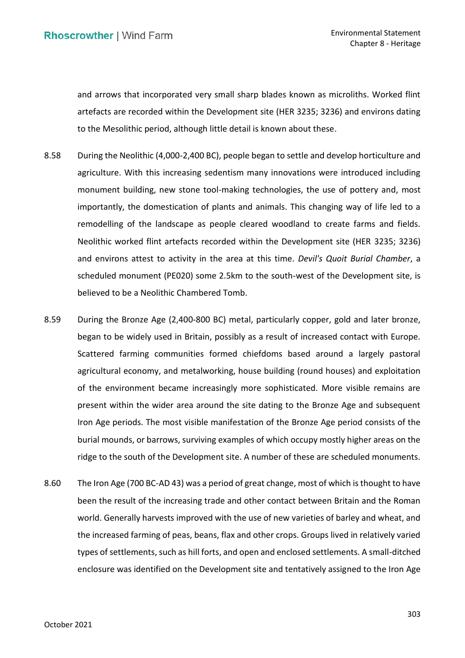and arrows that incorporated very small sharp blades known as microliths. Worked flint artefacts are recorded within the Development site (HER 3235; 3236) and environs dating to the Mesolithic period, although little detail is known about these.

- 8.58 During the Neolithic (4,000-2,400 BC), people began to settle and develop horticulture and agriculture. With this increasing sedentism many innovations were introduced including monument building, new stone tool-making technologies, the use of pottery and, most importantly, the domestication of plants and animals. This changing way of life led to a remodelling of the landscape as people cleared woodland to create farms and fields. Neolithic worked flint artefacts recorded within the Development site (HER 3235; 3236) and environs attest to activity in the area at this time. *Devil's Quoit Burial Chamber*, a scheduled monument (PE020) some 2.5km to the south-west of the Development site, is believed to be a Neolithic Chambered Tomb.
- 8.59 During the Bronze Age (2,400-800 BC) metal, particularly copper, gold and later bronze, began to be widely used in Britain, possibly as a result of increased contact with Europe. Scattered farming communities formed chiefdoms based around a largely pastoral agricultural economy, and metalworking, house building (round houses) and exploitation of the environment became increasingly more sophisticated. More visible remains are present within the wider area around the site dating to the Bronze Age and subsequent Iron Age periods. The most visible manifestation of the Bronze Age period consists of the burial mounds, or barrows, surviving examples of which occupy mostly higher areas on the ridge to the south of the Development site. A number of these are scheduled monuments.
- 8.60 The Iron Age (700 BC-AD 43) was a period of great change, most of which is thought to have been the result of the increasing trade and other contact between Britain and the Roman world. Generally harvests improved with the use of new varieties of barley and wheat, and the increased farming of peas, beans, flax and other crops. Groups lived in relatively varied types of settlements, such as hill forts, and open and enclosed settlements. A small-ditched enclosure was identified on the Development site and tentatively assigned to the Iron Age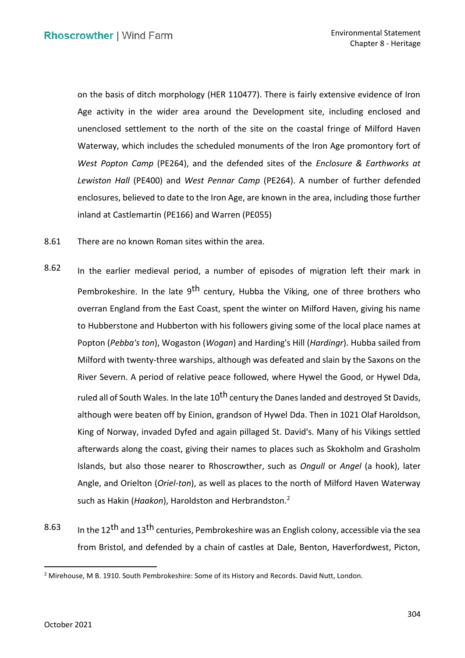on the basis of ditch morphology (HER 110477). There is fairly extensive evidence of Iron Age activity in the wider area around the Development site, including enclosed and unenclosed settlement to the north of the site on the coastal fringe of Milford Haven Waterway, which includes the scheduled monuments of the Iron Age promontory fort of  *West Popton Camp* (PE264), and the defended sites of the *Enclosure & Earthworks at Lewiston Hall* (PE400) and *West Pennar Camp* (PE264). A number of further defended enclosures, believed to date to the Iron Age, are known in the area, including those further inland at Castlemartin (PE166) and Warren (PE055)

- 8.61 There are no known Roman sites within the area.
- 8.62 In the earlier medieval period, a number of episodes of migration left their mark in Pembrokeshire. In the late 9<sup>th</sup> century, Hubba the Viking, one of three brothers who overran England from the East Coast, spent the winter on Milford Haven, giving his name to Hubberstone and Hubberton with his followers giving some of the local place names at Popton (*Pebba's ton*), Wogaston (*Wogan*) and Harding's Hill (*Hardingr*). Hubba sailed from Milford with twenty-three warships, although was defeated and slain by the Saxons on the River Severn. A period of relative peace followed, where Hywel the Good, or Hywel Dda, ruled all of South Wales. In the late 10<sup>th</sup> century the Danes landed and destroyed St Davids, although were beaten off by Einion, grandson of Hywel Dda. Then in 1021 Olaf Haroldson, King of Norway, invaded Dyfed and again pillaged St. David's. Many of his Vikings settled afterwards along the coast, giving their names to places such as Skokholm and Grasholm Islands, but also those nearer to Rhoscrowther, such as *Ongull* or *Angel* (a hook), later Angle, and Orielton (*Oriel-ton*), as well as places to the north of Milford Haven Waterway such as Hakin (*Haakon*), Haroldston and Herbrandston.2
- $8.63$  In the 12<sup>th</sup> and 13<sup>th</sup> centuries, Pembrokeshire was an English colony, accessible via the sea from Bristol, and defended by a chain of castles at Dale, Benton, Haverfordwest, Picton,

<sup>&</sup>lt;sup>2</sup> Mirehouse, M B. 1910. South Pembrokeshire: Some of its History and Records. David Nutt, London.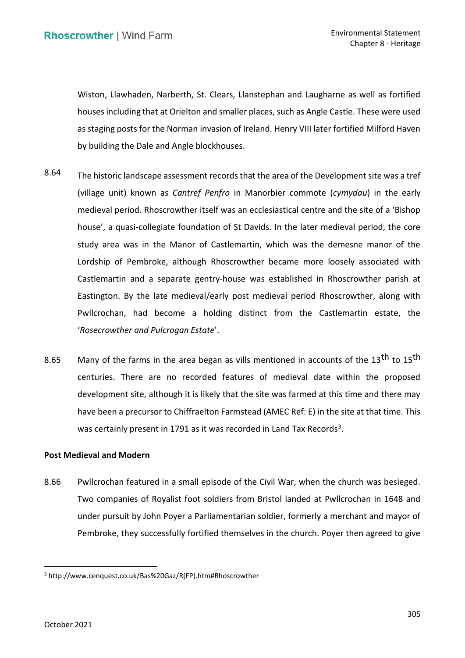Wiston, Llawhaden, Narberth, St. Clears, Llanstephan and Laugharne as well as fortified houses including that at Orielton and smaller places, such as Angle Castle. These were used as staging posts for the Norman invasion of Ireland. Henry VIII later fortified Milford Haven by building the Dale and Angle blockhouses.

- 8.64 The historic landscape assessment records that the area of the Development site was a tref  (village unit) known as *Cantref Penfro* in Manorbier commote (*cymydau*) in the early medieval period. Rhoscrowther itself was an ecclesiastical centre and the site of a 'Bishop house', a quasi-collegiate foundation of St Davids. In the later medieval period, the core study area was in the Manor of Castlemartin, which was the demesne manor of the Lordship of Pembroke, although Rhoscrowther became more loosely associated with Castlemartin and a separate gentry-house was established in Rhoscrowther parish at Eastington. By the late medieval/early post medieval period Rhoscrowther, along with Pwllcrochan, had become a holding distinct from the Castlemartin estate, the '*Rosecrowther and Pulcrogan Estate*'.
- 8.65 Many of the farms in the area began as vills mentioned in accounts of the 13<sup>th</sup> to 15<sup>th</sup> centuries. There are no recorded features of medieval date within the proposed development site, although it is likely that the site was farmed at this time and there may have been a precursor to Chiffraelton Farmstead (AMEC Ref: E) in the site at that time. This was certainly present in 1791 as it was recorded in Land Tax Records<sup>3</sup>.

# **Post Medieval and Modern**

 8.66 Pwllcrochan featured in a small episode of the Civil War, when the church was besieged. Two companies of Royalist foot soldiers from Bristol landed at Pwllcrochan in 1648 and under pursuit by John Poyer a Parliamentarian soldier, formerly a merchant and mayor of Pembroke, they successfully fortified themselves in the church. Poyer then agreed to give

<sup>3</sup> [http://www.cenquest.co.uk/Bas%20Gaz/R\(FP\).htm#Rhoscrowther](http://www.cenquest.co.uk/Bas%20Gaz/R(FP).htm#Rhoscrowther)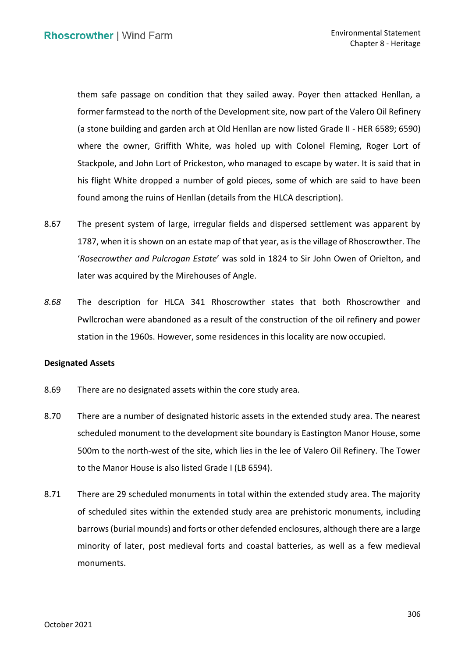them safe passage on condition that they sailed away. Poyer then attacked Henllan, a former farmstead to the north of the Development site, now part of the Valero Oil Refinery (a stone building and garden arch at Old Henllan are now listed Grade II - HER 6589; 6590) where the owner, Griffith White, was holed up with Colonel Fleming, Roger Lort of Stackpole, and John Lort of Prickeston, who managed to escape by water. It is said that in his flight White dropped a number of gold pieces, some of which are said to have been found among the ruins of Henllan (details from the HLCA description).

- 8.67 The present system of large, irregular fields and dispersed settlement was apparent by 1787, when it is shown on an estate map of that year, as is the village of Rhoscrowther. The  '*Rosecrowther and Pulcrogan Estate*' was sold in 1824 to Sir John Owen of Orielton, and later was acquired by the Mirehouses of Angle.
- *8.68* The description for HLCA 341 Rhoscrowther states that both Rhoscrowther and Pwllcrochan were abandoned as a result of the construction of the oil refinery and power station in the 1960s. However, some residences in this locality are now occupied.

# **Designated Assets**

- 8.69 There are no designated assets within the core study area.
- 8.70 There are a number of designated historic assets in the extended study area. The nearest scheduled monument to the development site boundary is Eastington Manor House, some 500m to the north-west of the site, which lies in the lee of Valero Oil Refinery. The Tower to the Manor House is also listed Grade I (LB 6594).
- 8.71 There are 29 scheduled monuments in total within the extended study area. The majority of scheduled sites within the extended study area are prehistoric monuments, including barrows (burial mounds) and forts or other defended enclosures, although there are a large minority of later, post medieval forts and coastal batteries, as well as a few medieval monuments.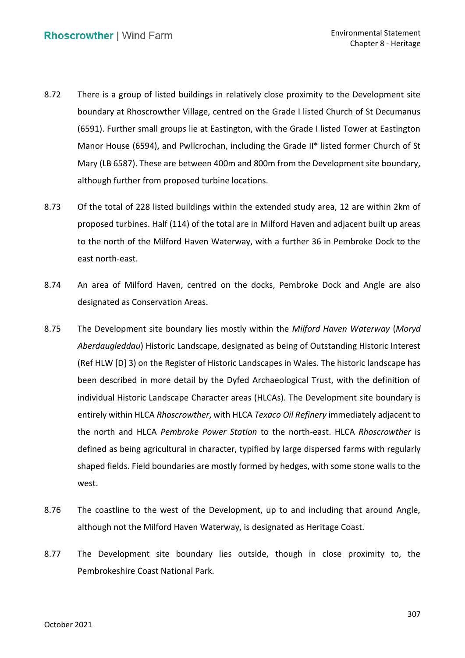- 8.72 There is a group of listed buildings in relatively close proximity to the Development site boundary at Rhoscrowther Village, centred on the Grade I listed Church of St Decumanus (6591). Further small groups lie at Eastington, with the Grade I listed Tower at Eastington Manor House (6594), and Pwllcrochan, including the Grade II\* listed former Church of St Mary (LB 6587). These are between 400m and 800m from the Development site boundary, although further from proposed turbine locations.
- 8.73 Of the total of 228 listed buildings within the extended study area, 12 are within 2km of proposed turbines. Half (114) of the total are in Milford Haven and adjacent built up areas to the north of the Milford Haven Waterway, with a further 36 in Pembroke Dock to the east north-east.
- 8.74 An area of Milford Haven, centred on the docks, Pembroke Dock and Angle are also designated as Conservation Areas.
- 8.75 The Development site boundary lies mostly within the *Milford Haven Waterway* (*Moryd Aberdaugleddau*) Historic Landscape, designated as being of Outstanding Historic Interest (Ref HLW [D] 3) on the Register of Historic Landscapes in Wales. The historic landscape has been described in more detail by the Dyfed Archaeological Trust, with the definition of individual Historic Landscape Character areas (HLCAs). The Development site boundary is entirely within HLCA *Rhoscrowther*, with HLCA *Texaco Oil Refinery* immediately adjacent to the north and HLCA *Pembroke Power Station* to the north-east. HLCA *Rhoscrowther* is defined as being agricultural in character, typified by large dispersed farms with regularly shaped fields. Field boundaries are mostly formed by hedges, with some stone walls to the west.
- 8.76 The coastline to the west of the Development, up to and including that around Angle, although not the Milford Haven Waterway, is designated as Heritage Coast.
- 8.77 The Development site boundary lies outside, though in close proximity to, the Pembrokeshire Coast National Park.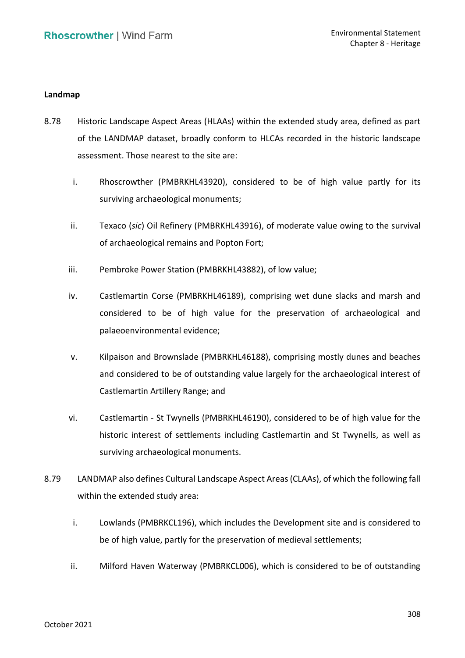## **Landmap**

- 8.78 Historic Landscape Aspect Areas (HLAAs) within the extended study area, defined as part of the LANDMAP dataset, broadly conform to HLCAs recorded in the historic landscape assessment. Those nearest to the site are:
	- i. Rhoscrowther (PMBRKHL43920), considered to be of high value partly for its surviving archaeological monuments;
	- ii. Texaco (*sic*) Oil Refinery (PMBRKHL43916), of moderate value owing to the survival of archaeological remains and Popton Fort;
	- iii. Pembroke Power Station (PMBRKHL43882), of low value;
	- iv. Castlemartin Corse (PMBRKHL46189), comprising wet dune slacks and marsh and considered to be of high value for the preservation of archaeological and palaeoenvironmental evidence;
	- v. Kilpaison and Brownslade (PMBRKHL46188), comprising mostly dunes and beaches and considered to be of outstanding value largely for the archaeological interest of Castlemartin Artillery Range; and
	- vi. Castlemartin St Twynells (PMBRKHL46190), considered to be of high value for the historic interest of settlements including Castlemartin and St Twynells, as well as surviving archaeological monuments.
- 8.79 LANDMAP also defines Cultural Landscape Aspect Areas (CLAAs), of which the following fall within the extended study area:
	- i. Lowlands (PMBRKCL196), which includes the Development site and is considered to be of high value, partly for the preservation of medieval settlements;
	- ii. Milford Haven Waterway (PMBRKCL006), which is considered to be of outstanding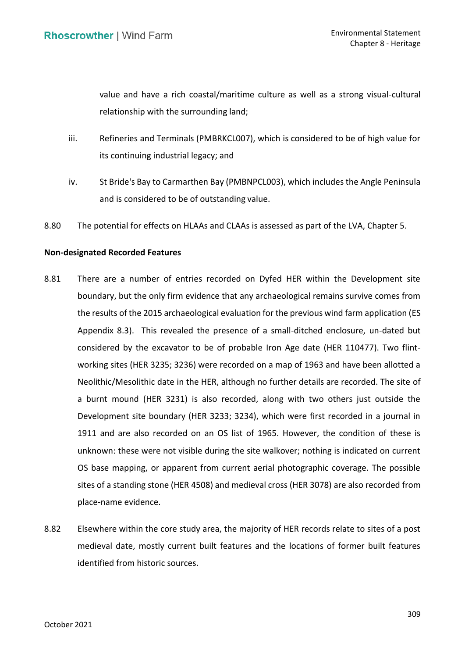value and have a rich coastal/maritime culture as well as a strong visual-cultural relationship with the surrounding land;

- iii. Refineries and Terminals (PMBRKCL007), which is considered to be of high value for its continuing industrial legacy; and
- iv. St Bride's Bay to Carmarthen Bay (PMBNPCL003), which includes the Angle Peninsula and is considered to be of outstanding value.
- 8.80 The potential for effects on HLAAs and CLAAs is assessed as part of the LVA, Chapter 5.

# **Non-designated Recorded Features**

- 8.81 There are a number of entries recorded on Dyfed HER within the Development site the results of the 2015 archaeological evaluation for the previous wind farm application (ES Appendix 8.3). This revealed the presence of a small-ditched enclosure, un-dated but considered by the excavator to be of probable Iron Age date (HER 110477). Two flint- working sites (HER 3235; 3236) were recorded on a map of 1963 and have been allotted a Neolithic/Mesolithic date in the HER, although no further details are recorded. The site of a burnt mound (HER 3231) is also recorded, along with two others just outside the Development site boundary (HER 3233; 3234), which were first recorded in a journal in 1911 and are also recorded on an OS list of 1965. However, the condition of these is unknown: these were not visible during the site walkover; nothing is indicated on current OS base mapping, or apparent from current aerial photographic coverage. The possible sites of a standing stone (HER 4508) and medieval cross (HER 3078) are also recorded from boundary, but the only firm evidence that any archaeological remains survive comes from place-name evidence.
- 8.82 Elsewhere within the core study area, the majority of HER records relate to sites of a post medieval date, mostly current built features and the locations of former built features identified from historic sources.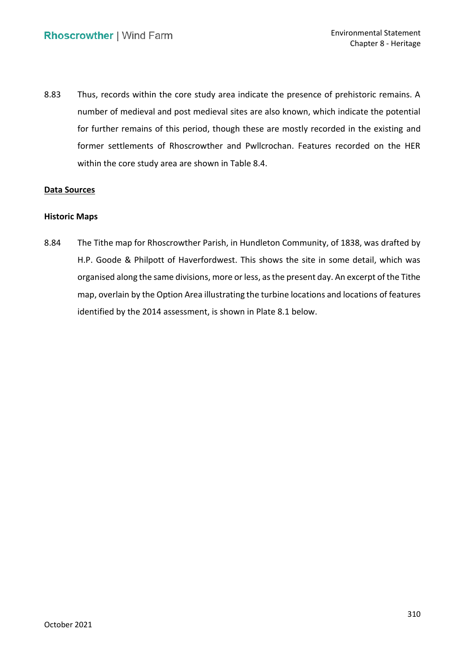8.83 Thus, records within the core study area indicate the presence of prehistoric remains. A number of medieval and post medieval sites are also known, which indicate the potential for further remains of this period, though these are mostly recorded in the existing and former settlements of Rhoscrowther and Pwllcrochan. Features recorded on the HER within the core study area are shown in Table 8.4.

# **Data Sources**

# **Historic Maps**

 8.84 The Tithe map for Rhoscrowther Parish, in Hundleton Community, of 1838, was drafted by H.P. Goode & Philpott of Haverfordwest. This shows the site in some detail, which was organised along the same divisions, more or less, as the present day. An excerpt of the Tithe map, overlain by the Option Area illustrating the turbine locations and locations of features identified by the 2014 assessment, is shown in Plate 8.1 below.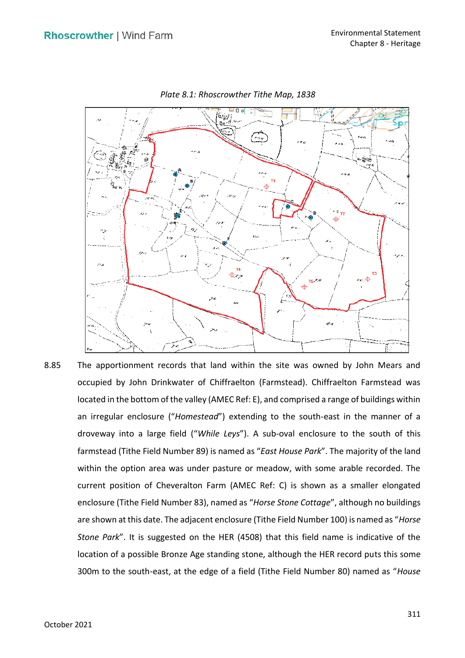

*Plate 8.1: Rhoscrowther Tithe Map, 1838* 

 8.85 The apportionment records that land within the site was owned by John Mears and occupied by John Drinkwater of Chiffraelton (Farmstead). Chiffraelton Farmstead was located in the bottom of the valley (AMEC Ref: E), and comprised a range of buildings within an irregular enclosure ("*Homestead*") extending to the south-east in the manner of a droveway into a large field ("*While Leys*"). A sub-oval enclosure to the south of this farmstead (Tithe Field Number 89) is named as "*East House Park*". The majority of the land within the option area was under pasture or meadow, with some arable recorded. The current position of Cheveralton Farm (AMEC Ref: C) is shown as a smaller elongated enclosure (Tithe Field Number 83), named as "*Horse Stone Cottage*", although no buildings are shown at this date. The adjacent enclosure (Tithe Field Number 100) is named as "*Horse Stone Park*". It is suggested on the HER (4508) that this field name is indicative of the location of a possible Bronze Age standing stone, although the HER record puts this some 300m to the south-east, at the edge of a field (Tithe Field Number 80) named as "*House*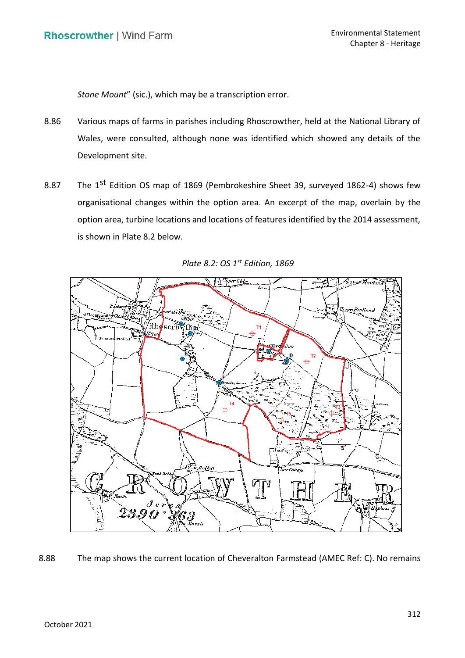*Stone Mount*" (sic.), which may be a transcription error.

- 8.86 Various maps of farms in parishes including Rhoscrowther, held at the National Library of Wales, were consulted, although none was identified which showed any details of the Development site.
- 8.87 The 1<sup>st</sup> Edition OS map of 1869 (Pembrokeshire Sheet 39, surveyed 1862-4) shows few organisational changes within the option area. An excerpt of the map, overlain by the option area, turbine locations and locations of features identified by the 2014 assessment, is shown in Plate 8.2 below.



*Plate 8.2: OS 1st Edition, 1869* 

# 8.88 The map shows the current location of Cheveralton Farmstead (AMEC Ref: C). No remains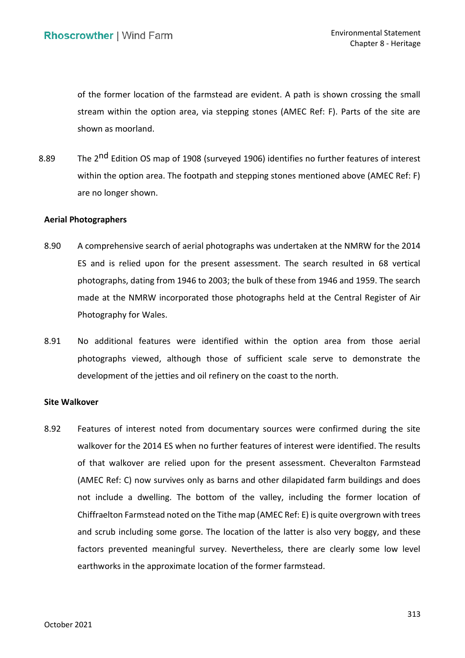of the former location of the farmstead are evident. A path is shown crossing the small stream within the option area, via stepping stones (AMEC Ref: F). Parts of the site are shown as moorland.

8.89 The 2<sup>nd</sup> Edition OS map of 1908 (surveyed 1906) identifies no further features of interest within the option area. The footpath and stepping stones mentioned above (AMEC Ref: F) are no longer shown.

### **Aerial Photographers**

- 8.90 A comprehensive search of aerial photographs was undertaken at the NMRW for the 2014 ES and is relied upon for the present assessment. The search resulted in 68 vertical photographs, dating from 1946 to 2003; the bulk of these from 1946 and 1959. The search made at the NMRW incorporated those photographs held at the Central Register of Air Photography for Wales.
- 8.91 No additional features were identified within the option area from those aerial photographs viewed, although those of sufficient scale serve to demonstrate the development of the jetties and oil refinery on the coast to the north.

#### **Site Walkover**

8.92 Features of interest noted from documentary sources were confirmed during the site walkover for the 2014 ES when no further features of interest were identified. The results of that walkover are relied upon for the present assessment. Cheveralton Farmstead (AMEC Ref: C) now survives only as barns and other dilapidated farm buildings and does not include a dwelling. The bottom of the valley, including the former location of Chiffraelton Farmstead noted on the Tithe map (AMEC Ref: E) is quite overgrown with trees and scrub including some gorse. The location of the latter is also very boggy, and these factors prevented meaningful survey. Nevertheless, there are clearly some low level earthworks in the approximate location of the former farmstead.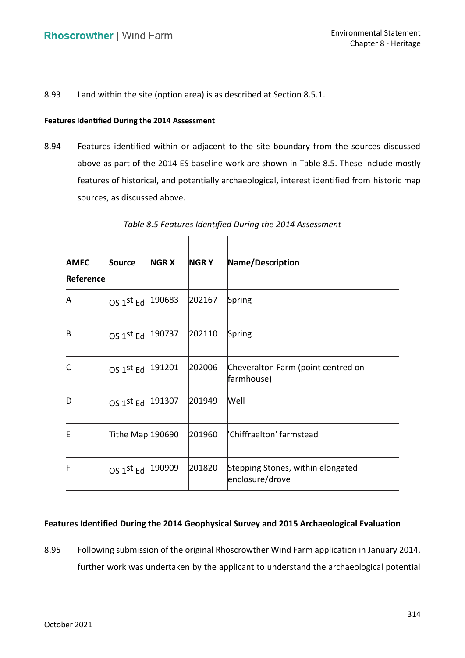8.93 Land within the site (option area) is as described at Section 8.5.1.

### **Features Identified During the 2014 Assessment**

 8.94 Features identified within or adjacent to the site boundary from the sources discussed above as part of the 2014 ES baseline work are shown in Table 8.5. These include mostly features of historical, and potentially archaeological, interest identified from historic map sources, as discussed above.

| <b>AMEC</b><br>Reference | Source                                      | <b>NGR X</b> | <b>NGRY</b> | Name/Description                                     |
|--------------------------|---------------------------------------------|--------------|-------------|------------------------------------------------------|
| A                        | $\mathsf{OS}\ 1^\mathsf{st}\ \mathsf{Ed}$   | 190683       | 202167      | Spring                                               |
| B                        | $\mathsf{OS} \ 1^\mathsf{st} \ \mathsf{Ed}$ | 190737       | 202110      | Spring                                               |
| IC                       | OS 1st Ed 191201                            |              | 202006      | Cheveralton Farm (point centred on<br>farmhouse)     |
| ID                       | OS 1st Ed  191307                           |              | 201949      | Well                                                 |
| E                        | Tithe Map 290690                            |              | 201960      | "Chiffraelton' farmstead                             |
| IF                       | $\mathsf{OS} \ 1^\mathsf{st} \ \mathsf{Ed}$ | 190909       | 201820      | Stepping Stones, within elongated<br>enclosure/drove |

 *Table 8.5 Features Identified During the 2014 Assessment* 

# **Features Identified During the 2014 Geophysical Survey and 2015 Archaeological Evaluation**

 8.95 Following submission of the original Rhoscrowther Wind Farm application in January 2014, further work was undertaken by the applicant to understand the archaeological potential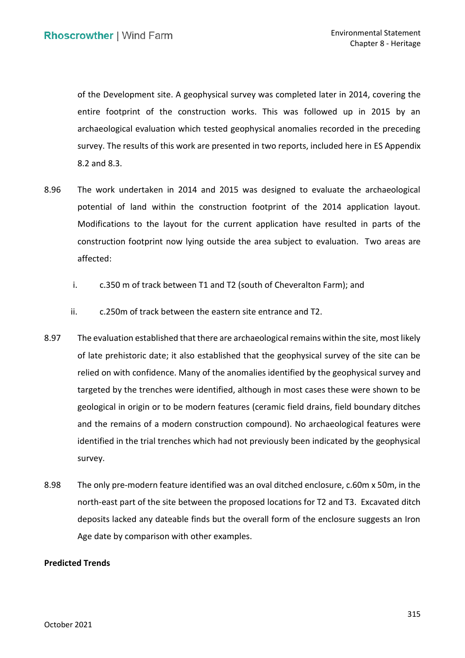of the Development site. A geophysical survey was completed later in 2014, covering the entire footprint of the construction works. This was followed up in 2015 by an archaeological evaluation which tested geophysical anomalies recorded in the preceding survey. The results of this work are presented in two reports, included here in ES Appendix 8.2 and 8.3.

- 8.96 The work undertaken in 2014 and 2015 was designed to evaluate the archaeological potential of land within the construction footprint of the 2014 application layout. Modifications to the layout for the current application have resulted in parts of the construction footprint now lying outside the area subject to evaluation. Two areas are affected:
	- i. c.350 m of track between T1 and T2 (south of Cheveralton Farm); and
	- ii. c.250m of track between the eastern site entrance and T2.
- 8.97 The evaluation established that there are archaeological remains within the site, most likely of late prehistoric date; it also established that the geophysical survey of the site can be relied on with confidence. Many of the anomalies identified by the geophysical survey and targeted by the trenches were identified, although in most cases these were shown to be geological in origin or to be modern features (ceramic field drains, field boundary ditches and the remains of a modern construction compound). No archaeological features were identified in the trial trenches which had not previously been indicated by the geophysical survey.
- 8.98 The only pre-modern feature identified was an oval ditched enclosure, c.60m x 50m, in the north-east part of the site between the proposed locations for T2 and T3. Excavated ditch deposits lacked any dateable finds but the overall form of the enclosure suggests an Iron Age date by comparison with other examples.

# **Predicted Trends**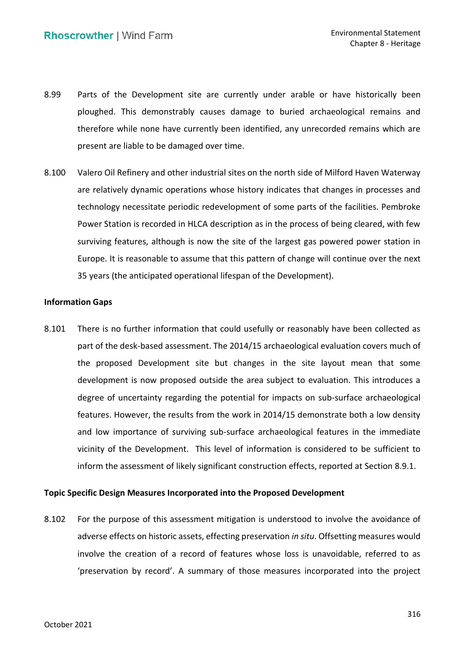- 8.99 Parts of the Development site are currently under arable or have historically been therefore while none have currently been identified, any unrecorded remains which are present are liable to be damaged over time. ploughed. This demonstrably causes damage to buried archaeological remains and
- 8.100 Valero Oil Refinery and other industrial sites on the north side of Milford Haven Waterway are relatively dynamic operations whose history indicates that changes in processes and technology necessitate periodic redevelopment of some parts of the facilities. Pembroke Power Station is recorded in HLCA description as in the process of being cleared, with few surviving features, although is now the site of the largest gas powered power station in Europe. It is reasonable to assume that this pattern of change will continue over the next 35 years (the anticipated operational lifespan of the Development).

# **Information Gaps**

 8.101 There is no further information that could usefully or reasonably have been collected as part of the desk-based assessment. The 2014/15 archaeological evaluation covers much of the proposed Development site but changes in the site layout mean that some development is now proposed outside the area subject to evaluation. This introduces a degree of uncertainty regarding the potential for impacts on sub-surface archaeological features. However, the results from the work in 2014/15 demonstrate both a low density and low importance of surviving sub-surface archaeological features in the immediate vicinity of the Development. This level of information is considered to be sufficient to inform the assessment of likely significant construction effects, reported at Section 8.9.1.

# **Topic Specific Design Measures Incorporated into the Proposed Development**

 8.102 For the purpose of this assessment mitigation is understood to involve the avoidance of adverse effects on historic assets, effecting preservation *in situ*. Offsetting measures would involve the creation of a record of features whose loss is unavoidable, referred to as 'preservation by record'. A summary of those measures incorporated into the project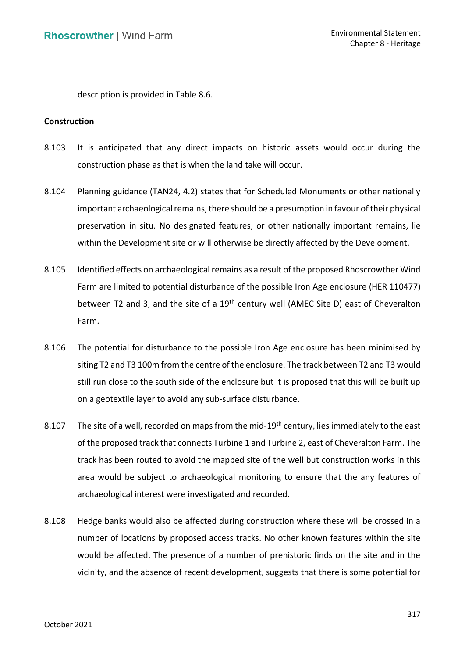description is provided in Table 8.6.

## **Construction**

- 8.103 It is anticipated that any direct impacts on historic assets would occur during the construction phase as that is when the land take will occur.
- 8.104 Planning guidance (TAN24, 4.2) states that for Scheduled Monuments or other nationally important archaeological remains, there should be a presumption in favour of their physical preservation in situ. No designated features, or other nationally important remains, lie within the Development site or will otherwise be directly affected by the Development.
- 8.105 Identified effects on archaeological remains as a result of the proposed Rhoscrowther Wind Farm are limited to potential disturbance of the possible Iron Age enclosure (HER 110477) between T2 and 3, and the site of a 19<sup>th</sup> century well (AMEC Site D) east of Cheveralton Farm.
- 8.106 The potential for disturbance to the possible Iron Age enclosure has been minimised by siting T2 and T3 100m from the centre of the enclosure. The track between T2 and T3 would still run close to the south side of the enclosure but it is proposed that this will be built up on a geotextile layer to avoid any sub-surface disturbance.
- 8.107 The site of a well, recorded on maps from the mid-19<sup>th</sup> century, lies immediately to the east of the proposed track that connects Turbine 1 and Turbine 2, east of Cheveralton Farm. The track has been routed to avoid the mapped site of the well but construction works in this area would be subject to archaeological monitoring to ensure that the any features of archaeological interest were investigated and recorded.
- 8.108 Hedge banks would also be affected during construction where these will be crossed in a number of locations by proposed access tracks. No other known features within the site would be affected. The presence of a number of prehistoric finds on the site and in the vicinity, and the absence of recent development, suggests that there is some potential for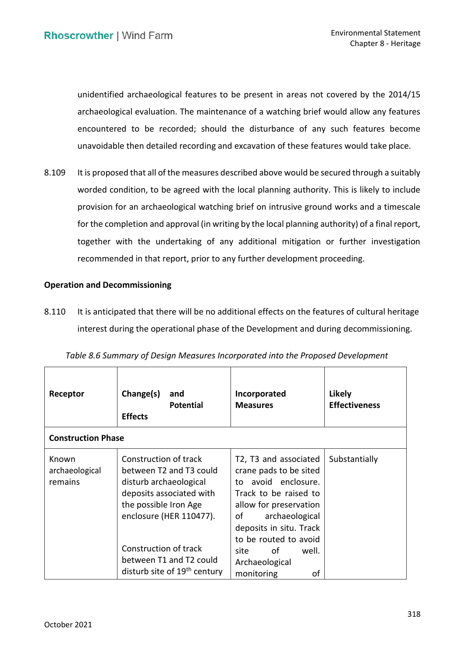unidentified archaeological features to be present in areas not covered by the 2014/15 archaeological evaluation. The maintenance of a watching brief would allow any features encountered to be recorded; should the disturbance of any such features become unavoidable then detailed recording and excavation of these features would take place.

8.109 It is proposed that all of the measures described above would be secured through a suitably worded condition, to be agreed with the local planning authority. This is likely to include provision for an archaeological watching brief on intrusive ground works and a timescale for the completion and approval (in writing by the local planning authority) of a final report, together with the undertaking of any additional mitigation or further investigation recommended in that report, prior to any further development proceeding.

# **Operation and Decommissioning**

8.110 It is anticipated that there will be no additional effects on the features of cultural heritage interest during the operational phase of the Development and during decommissioning.

| Receptor                           | Change(s)<br>and<br><b>Potential</b><br><b>Effects</b>                                                                                                     | Incorporated<br><b>Measures</b>                                                                                                                                                                          | <b>Likely</b><br><b>Effectiveness</b> |
|------------------------------------|------------------------------------------------------------------------------------------------------------------------------------------------------------|----------------------------------------------------------------------------------------------------------------------------------------------------------------------------------------------------------|---------------------------------------|
| <b>Construction Phase</b>          |                                                                                                                                                            |                                                                                                                                                                                                          |                                       |
| Known<br>archaeological<br>remains | Construction of track<br>between T2 and T3 could<br>disturb archaeological<br>deposits associated with<br>the possible Iron Age<br>enclosure (HER 110477). | T2, T3 and associated<br>crane pads to be sited<br>avoid enclosure.<br>to<br>Track to be raised to<br>allow for preservation<br>archaeological<br>οf<br>deposits in situ. Track<br>to be routed to avoid | Substantially                         |
|                                    | Construction of track<br>between T1 and T2 could<br>disturb site of 19 <sup>th</sup> century                                                               | of<br>well.<br>site<br>Archaeological<br>monitoring<br>οf                                                                                                                                                |                                       |

|  |  |  | Table 8.6 Summary of Design Measures Incorporated into the Proposed Development |
|--|--|--|---------------------------------------------------------------------------------|
|--|--|--|---------------------------------------------------------------------------------|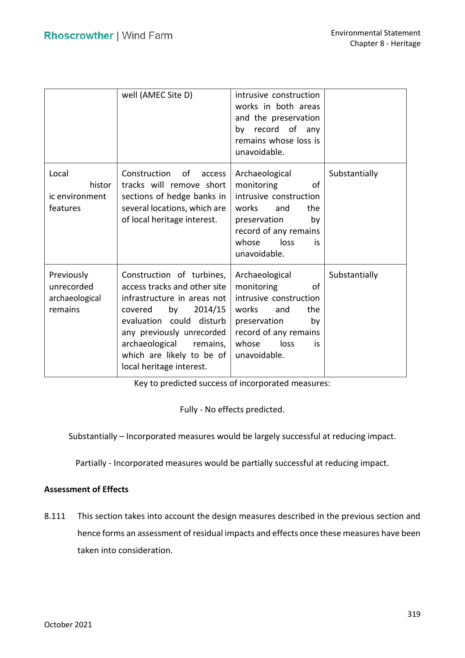|                                                       | well (AMEC Site D)                                                                                                                                                                                                                                                | intrusive construction<br>works in both areas<br>and the preservation<br>by record of any<br>remains whose loss is<br>unavoidable.                                         |               |
|-------------------------------------------------------|-------------------------------------------------------------------------------------------------------------------------------------------------------------------------------------------------------------------------------------------------------------------|----------------------------------------------------------------------------------------------------------------------------------------------------------------------------|---------------|
| Local<br>histor<br>ic environment<br>features         | Construction<br>of<br>access<br>tracks will remove short<br>sections of hedge banks in<br>several locations, which are<br>of local heritage interest.                                                                                                             | Archaeological<br>monitoring<br>οf<br>intrusive construction<br>works<br>and<br>the<br>preservation<br>by<br>record of any remains<br>loss<br>whose<br>is<br>unavoidable.  | Substantially |
| Previously<br>unrecorded<br>archaeological<br>remains | Construction of turbines,<br>access tracks and other site<br>infrastructure in areas not<br>2014/15<br>by<br>covered<br>evaluation could disturb<br>any previously unrecorded<br>archaeological remains,<br>which are likely to be of<br>local heritage interest. | Archaeological<br>monitoring<br>οf<br>intrusive construction<br>works<br>the<br>and<br>preservation<br>by<br>record of any remains<br>whose<br>loss<br>is.<br>unavoidable. | Substantially |

Key to predicted success of incorporated measures:

Fully - No effects predicted.

Substantially – Incorporated measures would be largely successful at reducing impact.

Partially - Incorporated measures would be partially successful at reducing impact.

# **Assessment of Effects**

 8.111 This section takes into account the design measures described in the previous section and hence forms an assessment of residual impacts and effects once these measures have been taken into consideration.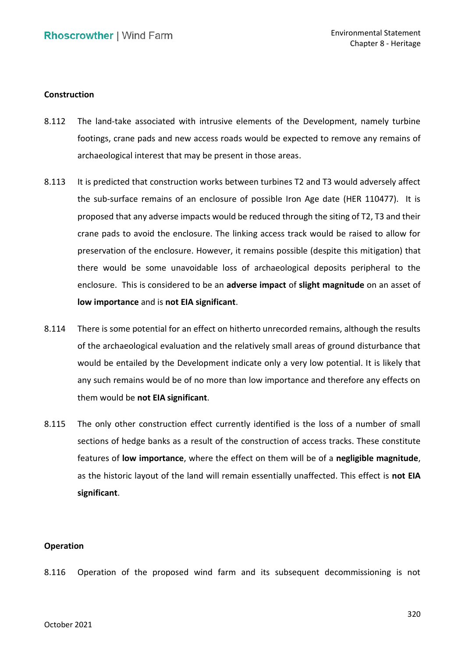## **Construction**

- 8.112 The land-take associated with intrusive elements of the Development, namely turbine footings, crane pads and new access roads would be expected to remove any remains of archaeological interest that may be present in those areas.
- 8.113 It is predicted that construction works between turbines T2 and T3 would adversely affect the sub-surface remains of an enclosure of possible Iron Age date (HER 110477). It is proposed that any adverse impacts would be reduced through the siting of T2, T3 and their crane pads to avoid the enclosure. The linking access track would be raised to allow for preservation of the enclosure. However, it remains possible (despite this mitigation) that there would be some unavoidable loss of archaeological deposits peripheral to the enclosure. This is considered to be an **adverse impact** of **slight magnitude** on an asset of  **low importance** and is **not EIA significant**.
- 8.114 There is some potential for an effect on hitherto unrecorded remains, although the results of the archaeological evaluation and the relatively small areas of ground disturbance that would be entailed by the Development indicate only a very low potential. It is likely that any such remains would be of no more than low importance and therefore any effects on them would be **not EIA significant**.
- 8.115 The only other construction effect currently identified is the loss of a number of small sections of hedge banks as a result of the construction of access tracks. These constitute features of **low importance**, where the effect on them will be of a **negligible magnitude**, as the historic layout of the land will remain essentially unaffected. This effect is **not EIA significant**.

#### **Operation**

8.116 Operation of the proposed wind farm and its subsequent decommissioning is not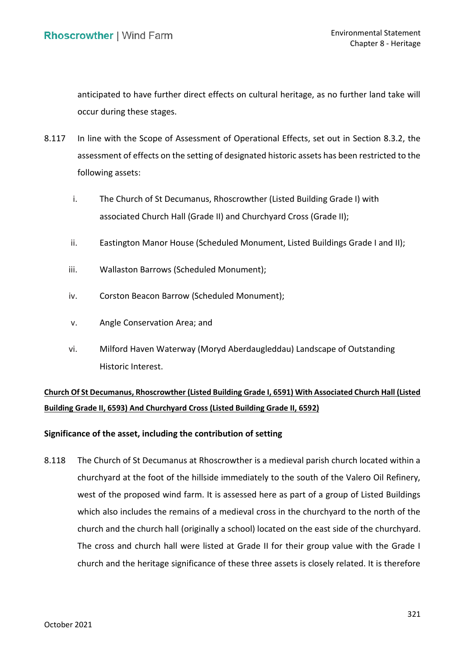anticipated to have further direct effects on cultural heritage, as no further land take will occur during these stages.

- 8.117 In line with the Scope of Assessment of Operational Effects, set out in Section 8.3.2, the assessment of effects on the setting of designated historic assets has been restricted to the following assets:
	- i. The Church of St Decumanus, Rhoscrowther (Listed Building Grade I) with associated Church Hall (Grade II) and Churchyard Cross (Grade II);
	- ii. Eastington Manor House (Scheduled Monument, Listed Buildings Grade I and II);
	- iii. Wallaston Barrows (Scheduled Monument);
	- iv. Corston Beacon Barrow (Scheduled Monument);
	- v. Angle Conservation Area; and
	- vi. Milford Haven Waterway (Moryd Aberdaugleddau) Landscape of Outstanding Historic Interest.

# **Church Of St Decumanus, Rhoscrowther (Listed Building Grade I, 6591) With Associated Church Hall (Listed Building Grade II, 6593) And Churchyard Cross (Listed Building Grade II, 6592)**

# **Significance of the asset, including the contribution of setting**

 8.118 The Church of St Decumanus at Rhoscrowther is a medieval parish church located within a churchyard at the foot of the hillside immediately to the south of the Valero Oil Refinery, west of the proposed wind farm. It is assessed here as part of a group of Listed Buildings which also includes the remains of a medieval cross in the churchyard to the north of the church and the church hall (originally a school) located on the east side of the churchyard. The cross and church hall were listed at Grade II for their group value with the Grade I church and the heritage significance of these three assets is closely related. It is therefore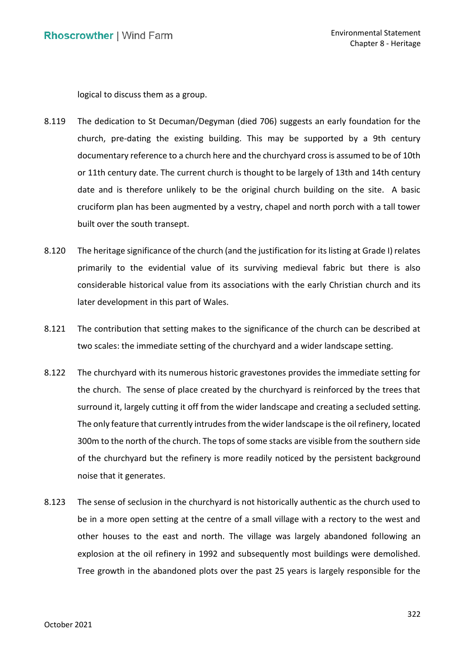logical to discuss them as a group.

- 8.119 The dedication to St Decuman/Degyman (died 706) suggests an early foundation for the church, pre-dating the existing building. This may be supported by a 9th century documentary reference to a church here and the churchyard cross is assumed to be of 10th or 11th century date. The current church is thought to be largely of 13th and 14th century date and is therefore unlikely to be the original church building on the site. A basic cruciform plan has been augmented by a vestry, chapel and north porch with a tall tower built over the south transept.
- 8.120 The heritage significance of the church (and the justification for its listing at Grade I) relates primarily to the evidential value of its surviving medieval fabric but there is also considerable historical value from its associations with the early Christian church and its later development in this part of Wales.
- 8.121 The contribution that setting makes to the significance of the church can be described at two scales: the immediate setting of the churchyard and a wider landscape setting.
- 8.122 The churchyard with its numerous historic gravestones provides the immediate setting for surround it, largely cutting it off from the wider landscape and creating a secluded setting. The only feature that currently intrudes from the wider landscape is the oil refinery, located 300m to the north of the church. The tops of some stacks are visible from the southern side of the churchyard but the refinery is more readily noticed by the persistent background noise that it generates. the church. The sense of place created by the churchyard is reinforced by the trees that
- 8.123 The sense of seclusion in the churchyard is not historically authentic as the church used to be in a more open setting at the centre of a small village with a rectory to the west and other houses to the east and north. The village was largely abandoned following an explosion at the oil refinery in 1992 and subsequently most buildings were demolished. Tree growth in the abandoned plots over the past 25 years is largely responsible for the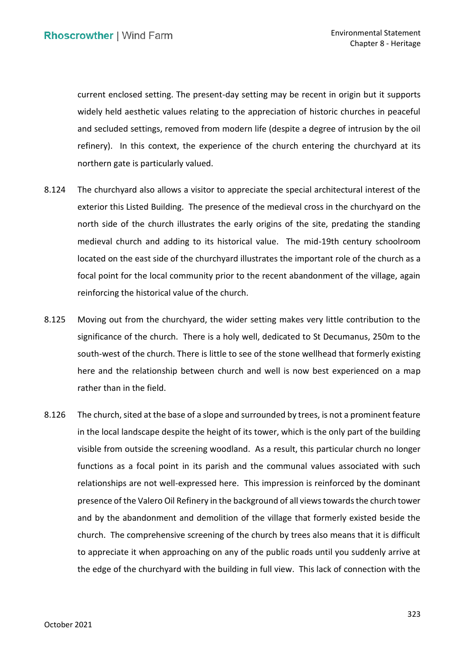current enclosed setting. The present-day setting may be recent in origin but it supports widely held aesthetic values relating to the appreciation of historic churches in peaceful and secluded settings, removed from modern life (despite a degree of intrusion by the oil refinery). In this context, the experience of the church entering the churchyard at its northern gate is particularly valued.

- 8.124 The churchyard also allows a visitor to appreciate the special architectural interest of the exterior this Listed Building. The presence of the medieval cross in the churchyard on the north side of the church illustrates the early origins of the site, predating the standing medieval church and adding to its historical value. The mid-19th century schoolroom located on the east side of the churchyard illustrates the important role of the church as a focal point for the local community prior to the recent abandonment of the village, again reinforcing the historical value of the church.
- 8.125 Moving out from the churchyard, the wider setting makes very little contribution to the significance of the church. There is a holy well, dedicated to St Decumanus, 250m to the south-west of the church. There is little to see of the stone wellhead that formerly existing here and the relationship between church and well is now best experienced on a map rather than in the field.
- 8.126 The church, sited at the base of a slope and surrounded by trees, is not a prominent feature in the local landscape despite the height of its tower, which is the only part of the building visible from outside the screening woodland. As a result, this particular church no longer functions as a focal point in its parish and the communal values associated with such relationships are not well-expressed here. This impression is reinforced by the dominant presence of the Valero Oil Refinery in the background of all views towards the church tower and by the abandonment and demolition of the village that formerly existed beside the church. The comprehensive screening of the church by trees also means that it is difficult to appreciate it when approaching on any of the public roads until you suddenly arrive at the edge of the churchyard with the building in full view. This lack of connection with the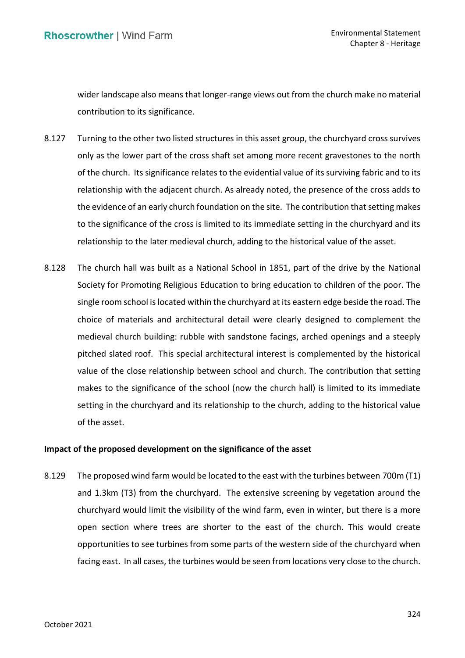wider landscape also means that longer-range views out from the church make no material contribution to its significance.

- 8.127 Turning to the other two listed structures in this asset group, the churchyard cross survives only as the lower part of the cross shaft set among more recent gravestones to the north of the church. Its significance relates to the evidential value of its surviving fabric and to its relationship with the adjacent church. As already noted, the presence of the cross adds to the evidence of an early church foundation on the site. The contribution that setting makes to the significance of the cross is limited to its immediate setting in the churchyard and its relationship to the later medieval church, adding to the historical value of the asset.
- 8.128 The church hall was built as a National School in 1851, part of the drive by the National Society for Promoting Religious Education to bring education to children of the poor. The single room school is located within the churchyard at its eastern edge beside the road. The choice of materials and architectural detail were clearly designed to complement the medieval church building: rubble with sandstone facings, arched openings and a steeply pitched slated roof. This special architectural interest is complemented by the historical value of the close relationship between school and church. The contribution that setting makes to the significance of the school (now the church hall) is limited to its immediate setting in the churchyard and its relationship to the church, adding to the historical value of the asset.

# **Impact of the proposed development on the significance of the asset**

8.129 The proposed wind farm would be located to the east with the turbines between 700m (T1) and 1.3km (T3) from the churchyard. The extensive screening by vegetation around the churchyard would limit the visibility of the wind farm, even in winter, but there is a more open section where trees are shorter to the east of the church. This would create opportunities to see turbines from some parts of the western side of the churchyard when facing east. In all cases, the turbines would be seen from locations very close to the church.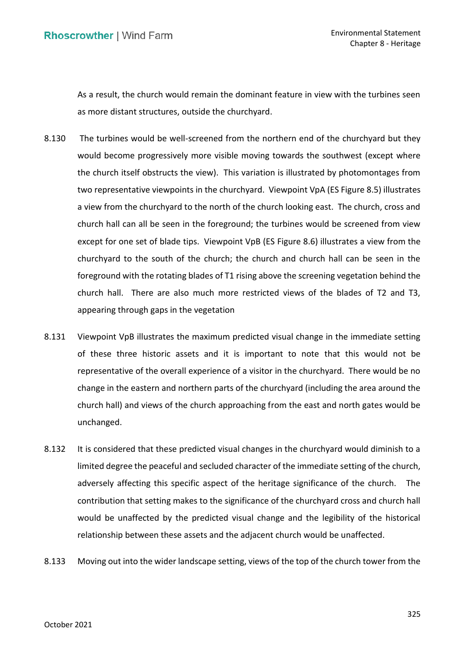As a result, the church would remain the dominant feature in view with the turbines seen as more distant structures, outside the churchyard.

- 8.130 The turbines would be well-screened from the northern end of the churchyard but they would become progressively more visible moving towards the southwest (except where the church itself obstructs the view). This variation is illustrated by photomontages from two representative viewpoints in the churchyard. Viewpoint VpA (ES Figure 8.5) illustrates a view from the churchyard to the north of the church looking east. The church, cross and church hall can all be seen in the foreground; the turbines would be screened from view except for one set of blade tips. Viewpoint VpB (ES Figure 8.6) illustrates a view from the churchyard to the south of the church; the church and church hall can be seen in the foreground with the rotating blades of T1 rising above the screening vegetation behind the church hall. There are also much more restricted views of the blades of T2 and T3, appearing through gaps in the vegetation
- 8.131 Viewpoint VpB illustrates the maximum predicted visual change in the immediate setting of these three historic assets and it is important to note that this would not be representative of the overall experience of a visitor in the churchyard. There would be no change in the eastern and northern parts of the churchyard (including the area around the church hall) and views of the church approaching from the east and north gates would be unchanged.
- 8.132 It is considered that these predicted visual changes in the churchyard would diminish to a limited degree the peaceful and secluded character of the immediate setting of the church, adversely affecting this specific aspect of the heritage significance of the church. The contribution that setting makes to the significance of the churchyard cross and church hall would be unaffected by the predicted visual change and the legibility of the historical relationship between these assets and the adjacent church would be unaffected.
- 8.133 Moving out into the wider landscape setting, views of the top of the church tower from the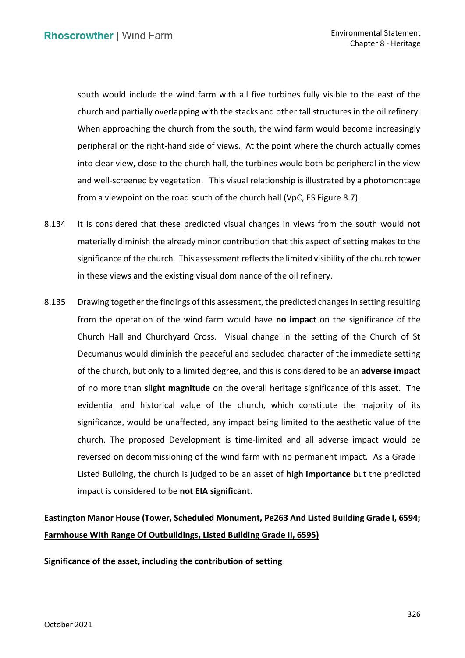south would include the wind farm with all five turbines fully visible to the east of the church and partially overlapping with the stacks and other tall structures in the oil refinery. When approaching the church from the south, the wind farm would become increasingly peripheral on the right-hand side of views. At the point where the church actually comes into clear view, close to the church hall, the turbines would both be peripheral in the view and well-screened by vegetation. This visual relationship is illustrated by a photomontage from a viewpoint on the road south of the church hall (VpC, ES Figure 8.7).

- 8.134 It is considered that these predicted visual changes in views from the south would not materially diminish the already minor contribution that this aspect of setting makes to the significance of the church. This assessment reflects the limited visibility of the church tower in these views and the existing visual dominance of the oil refinery.
- 8.135 Drawing together the findings of this assessment, the predicted changes in setting resulting from the operation of the wind farm would have **no impact** on the significance of the Church Hall and Churchyard Cross. Visual change in the setting of the Church of St Decumanus would diminish the peaceful and secluded character of the immediate setting of the church, but only to a limited degree, and this is considered to be an **adverse impact**  of no more than **slight magnitude** on the overall heritage significance of this asset. The evidential and historical value of the church, which constitute the majority of its significance, would be unaffected, any impact being limited to the aesthetic value of the church. The proposed Development is time-limited and all adverse impact would be reversed on decommissioning of the wind farm with no permanent impact. As a Grade I Listed Building, the church is judged to be an asset of **high importance** but the predicted impact is considered to be **not EIA significant**.

# **Eastington Manor House (Tower, Scheduled Monument, Pe263 And Listed Building Grade I, 6594; Farmhouse With Range Of Outbuildings, Listed Building Grade II, 6595)**

 **Significance of the asset, including the contribution of setting**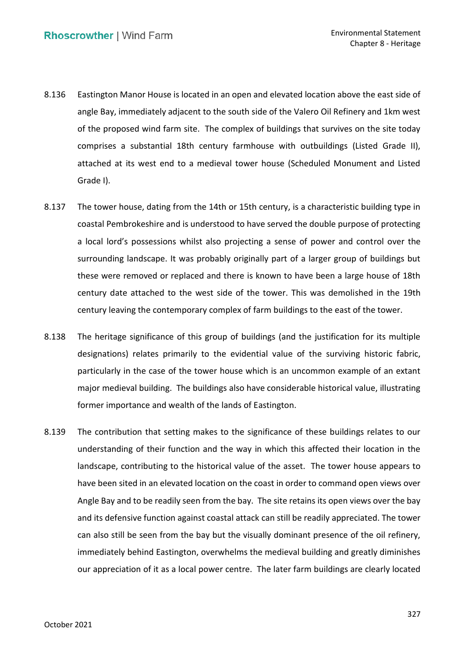- 8.136 Eastington Manor House is located in an open and elevated location above the east side of angle Bay, immediately adjacent to the south side of the Valero Oil Refinery and 1km west of the proposed wind farm site. The complex of buildings that survives on the site today comprises a substantial 18th century farmhouse with outbuildings (Listed Grade II), attached at its west end to a medieval tower house (Scheduled Monument and Listed Grade I).
- 8.137 The tower house, dating from the 14th or 15th century, is a characteristic building type in coastal Pembrokeshire and is understood to have served the double purpose of protecting a local lord's possessions whilst also projecting a sense of power and control over the surrounding landscape. It was probably originally part of a larger group of buildings but these were removed or replaced and there is known to have been a large house of 18th century date attached to the west side of the tower. This was demolished in the 19th century leaving the contemporary complex of farm buildings to the east of the tower.
- 8.138 The heritage significance of this group of buildings (and the justification for its multiple designations) relates primarily to the evidential value of the surviving historic fabric, particularly in the case of the tower house which is an uncommon example of an extant major medieval building. The buildings also have considerable historical value, illustrating former importance and wealth of the lands of Eastington.
- 8.139 The contribution that setting makes to the significance of these buildings relates to our understanding of their function and the way in which this affected their location in the landscape, contributing to the historical value of the asset. The tower house appears to have been sited in an elevated location on the coast in order to command open views over Angle Bay and to be readily seen from the bay. The site retains its open views over the bay and its defensive function against coastal attack can still be readily appreciated. The tower can also still be seen from the bay but the visually dominant presence of the oil refinery, immediately behind Eastington, overwhelms the medieval building and greatly diminishes our appreciation of it as a local power centre. The later farm buildings are clearly located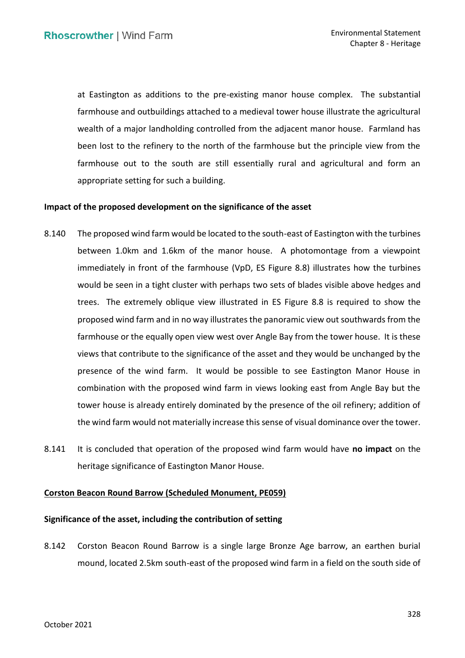at Eastington as additions to the pre-existing manor house complex. The substantial wealth of a major landholding controlled from the adjacent manor house. Farmland has been lost to the refinery to the north of the farmhouse but the principle view from the farmhouse out to the south are still essentially rural and agricultural and form an appropriate setting for such a building. farmhouse and outbuildings attached to a medieval tower house illustrate the agricultural

# **Impact of the proposed development on the significance of the asset**

- 8.140 The proposed wind farm would be located to the south-east of Eastington with the turbines between 1.0km and 1.6km of the manor house. A photomontage from a viewpoint immediately in front of the farmhouse (VpD, ES Figure 8.8) illustrates how the turbines would be seen in a tight cluster with perhaps two sets of blades visible above hedges and trees. The extremely oblique view illustrated in ES Figure 8.8 is required to show the proposed wind farm and in no way illustrates the panoramic view out southwards from the farmhouse or the equally open view west over Angle Bay from the tower house. It is these views that contribute to the significance of the asset and they would be unchanged by the presence of the wind farm. It would be possible to see Eastington Manor House in combination with the proposed wind farm in views looking east from Angle Bay but the tower house is already entirely dominated by the presence of the oil refinery; addition of the wind farm would not materially increase this sense of visual dominance over the tower.
- 8.141 It is concluded that operation of the proposed wind farm would have **no impact** on the heritage significance of Eastington Manor House.

# **Corston Beacon Round Barrow (Scheduled Monument, PE059)**

# **Significance of the asset, including the contribution of setting**

 8.142 Corston Beacon Round Barrow is a single large Bronze Age barrow, an earthen burial mound, located 2.5km south-east of the proposed wind farm in a field on the south side of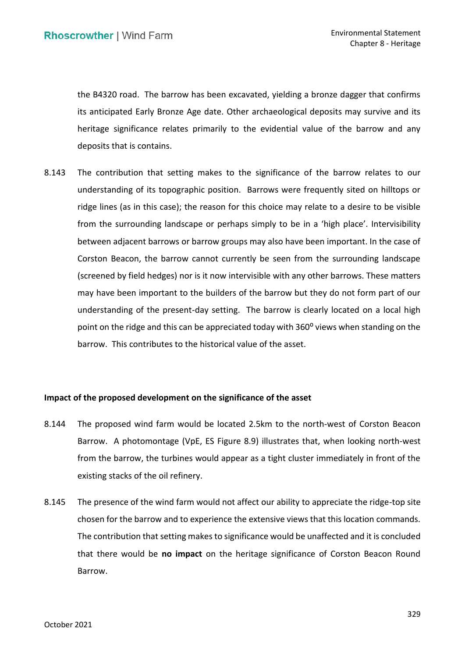the B4320 road. The barrow has been excavated, yielding a bronze dagger that confirms its anticipated Early Bronze Age date. Other archaeological deposits may survive and its heritage significance relates primarily to the evidential value of the barrow and any deposits that is contains.

 8.143 The contribution that setting makes to the significance of the barrow relates to our understanding of its topographic position. Barrows were frequently sited on hilltops or ridge lines (as in this case); the reason for this choice may relate to a desire to be visible from the surrounding landscape or perhaps simply to be in a 'high place'. Intervisibility between adjacent barrows or barrow groups may also have been important. In the case of Corston Beacon, the barrow cannot currently be seen from the surrounding landscape (screened by field hedges) nor is it now intervisible with any other barrows. These matters may have been important to the builders of the barrow but they do not form part of our understanding of the present-day setting. The barrow is clearly located on a local high point on the ridge and this can be appreciated today with 360<sup>o</sup> views when standing on the barrow. This contributes to the historical value of the asset.

# **Impact of the proposed development on the significance of the asset**

- 8.144 The proposed wind farm would be located 2.5km to the north-west of Corston Beacon Barrow. A photomontage (VpE, ES Figure 8.9) illustrates that, when looking north-west from the barrow, the turbines would appear as a tight cluster immediately in front of the existing stacks of the oil refinery.
- 8.145 The presence of the wind farm would not affect our ability to appreciate the ridge-top site chosen for the barrow and to experience the extensive views that this location commands. The contribution that setting makes to significance would be unaffected and it is concluded that there would be **no impact** on the heritage significance of Corston Beacon Round Barrow.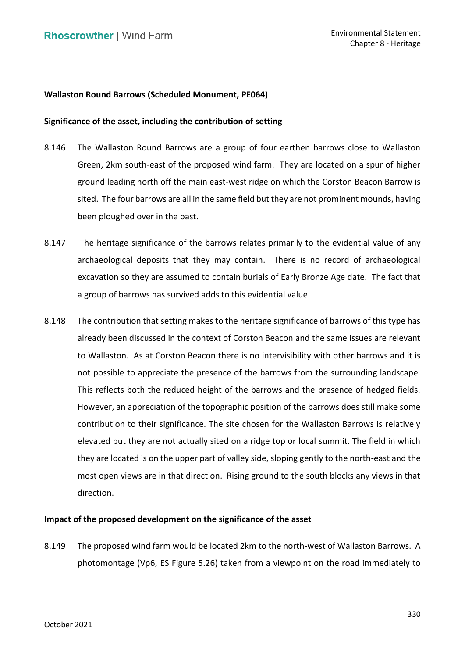# **Wallaston Round Barrows (Scheduled Monument, PE064)**

## **Significance of the asset, including the contribution of setting**

- 8.146 The Wallaston Round Barrows are a group of four earthen barrows close to Wallaston Green, 2km south-east of the proposed wind farm. They are located on a spur of higher ground leading north off the main east-west ridge on which the Corston Beacon Barrow is sited. The four barrows are all in the same field but they are not prominent mounds, having been ploughed over in the past.
- 8.147 The heritage significance of the barrows relates primarily to the evidential value of any archaeological deposits that they may contain. There is no record of archaeological excavation so they are assumed to contain burials of Early Bronze Age date. The fact that a group of barrows has survived adds to this evidential value.
- 8.148 The contribution that setting makes to the heritage significance of barrows of this type has already been discussed in the context of Corston Beacon and the same issues are relevant to Wallaston. As at Corston Beacon there is no intervisibility with other barrows and it is not possible to appreciate the presence of the barrows from the surrounding landscape. This reflects both the reduced height of the barrows and the presence of hedged fields. However, an appreciation of the topographic position of the barrows does still make some contribution to their significance. The site chosen for the Wallaston Barrows is relatively elevated but they are not actually sited on a ridge top or local summit. The field in which they are located is on the upper part of valley side, sloping gently to the north-east and the most open views are in that direction. Rising ground to the south blocks any views in that direction.

#### **Impact of the proposed development on the significance of the asset**

 8.149 The proposed wind farm would be located 2km to the north-west of Wallaston Barrows. A photomontage (Vp6, ES Figure 5.26) taken from a viewpoint on the road immediately to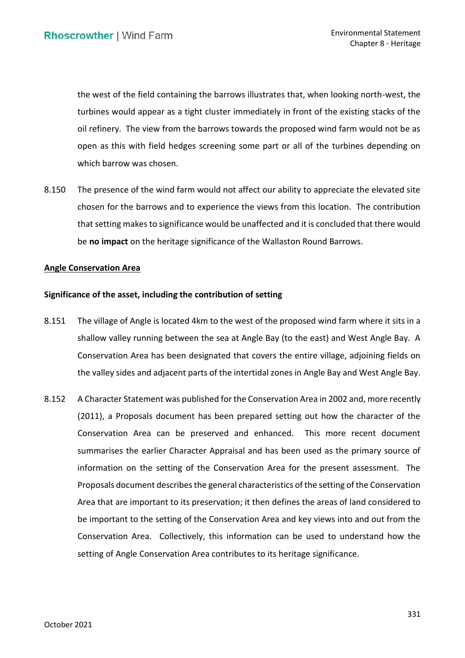the west of the field containing the barrows illustrates that, when looking north-west, the turbines would appear as a tight cluster immediately in front of the existing stacks of the oil refinery. The view from the barrows towards the proposed wind farm would not be as open as this with field hedges screening some part or all of the turbines depending on which barrow was chosen.

8.150 The presence of the wind farm would not affect our ability to appreciate the elevated site chosen for the barrows and to experience the views from this location. The contribution that setting makes to significance would be unaffected and it is concluded that there would be **no impact** on the heritage significance of the Wallaston Round Barrows.

# **Angle Conservation Area**

# **Significance of the asset, including the contribution of setting**

- 8.151 The village of Angle is located 4km to the west of the proposed wind farm where it sits in a shallow valley running between the sea at Angle Bay (to the east) and West Angle Bay. A Conservation Area has been designated that covers the entire village, adjoining fields on the valley sides and adjacent parts of the intertidal zones in Angle Bay and West Angle Bay.
- 8.152 A Character Statement was published for the Conservation Area in 2002 and, more recently (2011), a Proposals document has been prepared setting out how the character of the Conservation Area can be preserved and enhanced. This more recent document summarises the earlier Character Appraisal and has been used as the primary source of information on the setting of the Conservation Area for the present assessment. The Proposals document describes the general characteristics of the setting of the Conservation Area that are important to its preservation; it then defines the areas of land considered to be important to the setting of the Conservation Area and key views into and out from the Conservation Area. Collectively, this information can be used to understand how the setting of Angle Conservation Area contributes to its heritage significance.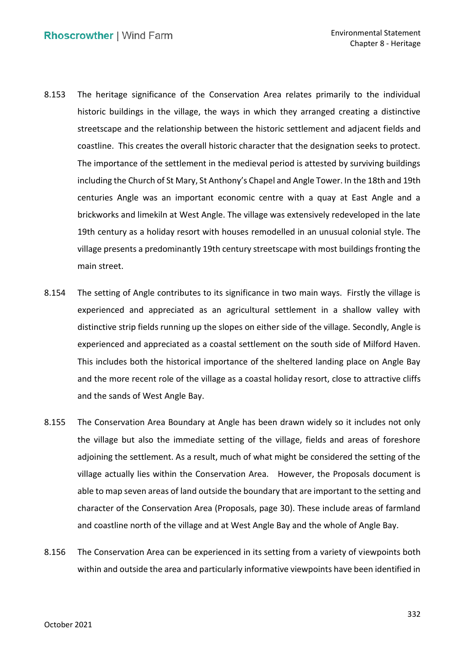- historic buildings in the village, the ways in which they arranged creating a distinctive streetscape and the relationship between the historic settlement and adjacent fields and coastline. This creates the overall historic character that the designation seeks to protect. The importance of the settlement in the medieval period is attested by surviving buildings including the Church of St Mary, St Anthony's Chapel and Angle Tower. In the 18th and 19th centuries Angle was an important economic centre with a quay at East Angle and a brickworks and limekiln at West Angle. The village was extensively redeveloped in the late 19th century as a holiday resort with houses remodelled in an unusual colonial style. The village presents a predominantly 19th century streetscape with most buildings fronting the 8.153 The heritage significance of the Conservation Area relates primarily to the individual main street.
- 8.154 The setting of Angle contributes to its significance in two main ways. Firstly the village is experienced and appreciated as an agricultural settlement in a shallow valley with distinctive strip fields running up the slopes on either side of the village. Secondly, Angle is experienced and appreciated as a coastal settlement on the south side of Milford Haven. This includes both the historical importance of the sheltered landing place on Angle Bay and the more recent role of the village as a coastal holiday resort, close to attractive cliffs and the sands of West Angle Bay.
- 8.155 The Conservation Area Boundary at Angle has been drawn widely so it includes not only the village but also the immediate setting of the village, fields and areas of foreshore adjoining the settlement. As a result, much of what might be considered the setting of the village actually lies within the Conservation Area. However, the Proposals document is able to map seven areas of land outside the boundary that are important to the setting and character of the Conservation Area (Proposals, page 30). These include areas of farmland and coastline north of the village and at West Angle Bay and the whole of Angle Bay.
- 8.156 The Conservation Area can be experienced in its setting from a variety of viewpoints both within and outside the area and particularly informative viewpoints have been identified in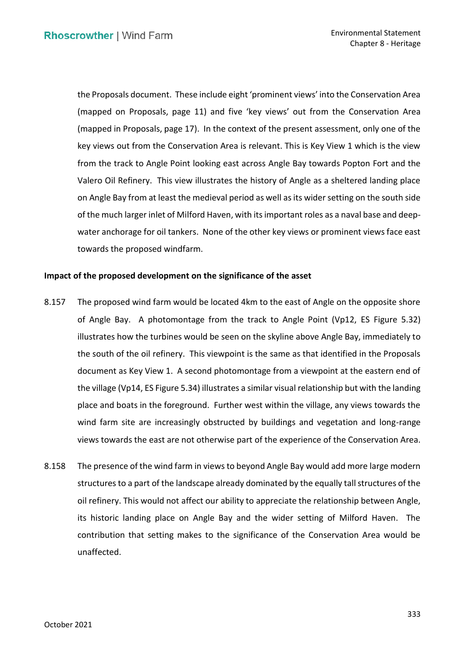the Proposals document. These include eight 'prominent views' into the Conservation Area (mapped on Proposals, page 11) and five 'key views' out from the Conservation Area (mapped in Proposals, page 17). In the context of the present assessment, only one of the key views out from the Conservation Area is relevant. This is Key View 1 which is the view from the track to Angle Point looking east across Angle Bay towards Popton Fort and the Valero Oil Refinery. This view illustrates the history of Angle as a sheltered landing place on Angle Bay from at least the medieval period as well as its wider setting on the south side of the much larger inlet of Milford Haven, with its important roles as a naval base and deep- water anchorage for oil tankers. None of the other key views or prominent views face east towards the proposed windfarm.

# **Impact of the proposed development on the significance of the asset**

- 8.157 The proposed wind farm would be located 4km to the east of Angle on the opposite shore of Angle Bay. A photomontage from the track to Angle Point (Vp12, ES Figure 5.32) illustrates how the turbines would be seen on the skyline above Angle Bay, immediately to the south of the oil refinery. This viewpoint is the same as that identified in the Proposals document as Key View 1. A second photomontage from a viewpoint at the eastern end of the village (Vp14, ES Figure 5.34) illustrates a similar visual relationship but with the landing place and boats in the foreground. Further west within the village, any views towards the wind farm site are increasingly obstructed by buildings and vegetation and long-range views towards the east are not otherwise part of the experience of the Conservation Area.
- 8.158 The presence of the wind farm in views to beyond Angle Bay would add more large modern structures to a part of the landscape already dominated by the equally tall structures of the oil refinery. This would not affect our ability to appreciate the relationship between Angle, its historic landing place on Angle Bay and the wider setting of Milford Haven. The contribution that setting makes to the significance of the Conservation Area would be unaffected.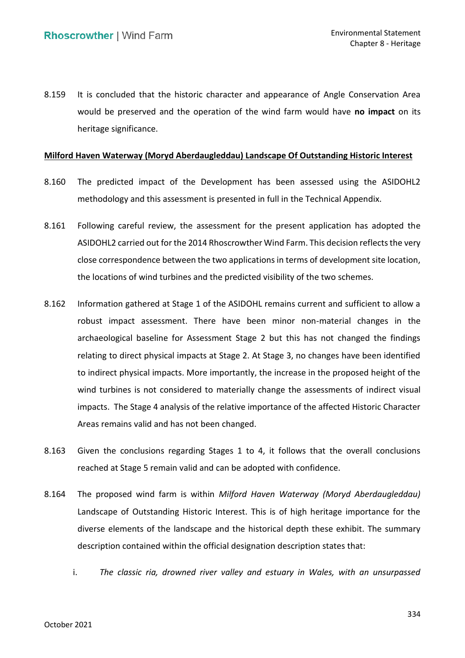8.159 It is concluded that the historic character and appearance of Angle Conservation Area would be preserved and the operation of the wind farm would have **no impact** on its heritage significance.

## **Milford Haven Waterway (Moryd Aberdaugleddau) Landscape Of Outstanding Historic Interest**

- 8.160 The predicted impact of the Development has been assessed using the ASIDOHL2 methodology and this assessment is presented in full in the Technical Appendix.
- 8.161 Following careful review, the assessment for the present application has adopted the ASIDOHL2 carried out for the 2014 Rhoscrowther Wind Farm. This decision reflects the very close correspondence between the two applications in terms of development site location, the locations of wind turbines and the predicted visibility of the two schemes.
- 8.162 Information gathered at Stage 1 of the ASIDOHL remains current and sufficient to allow a robust impact assessment. There have been minor non-material changes in the archaeological baseline for Assessment Stage 2 but this has not changed the findings relating to direct physical impacts at Stage 2. At Stage 3, no changes have been identified to indirect physical impacts. More importantly, the increase in the proposed height of the wind turbines is not considered to materially change the assessments of indirect visual impacts. The Stage 4 analysis of the relative importance of the affected Historic Character Areas remains valid and has not been changed.
- 8.163 Given the conclusions regarding Stages 1 to 4, it follows that the overall conclusions reached at Stage 5 remain valid and can be adopted with confidence.
- 8.164 The proposed wind farm is within *Milford Haven Waterway (Moryd Aberdaugleddau)*  Landscape of Outstanding Historic Interest. This is of high heritage importance for the diverse elements of the landscape and the historical depth these exhibit. The summary description contained within the official designation description states that:
	- i. *The classic ria, drowned river valley and estuary in Wales, with an unsurpassed*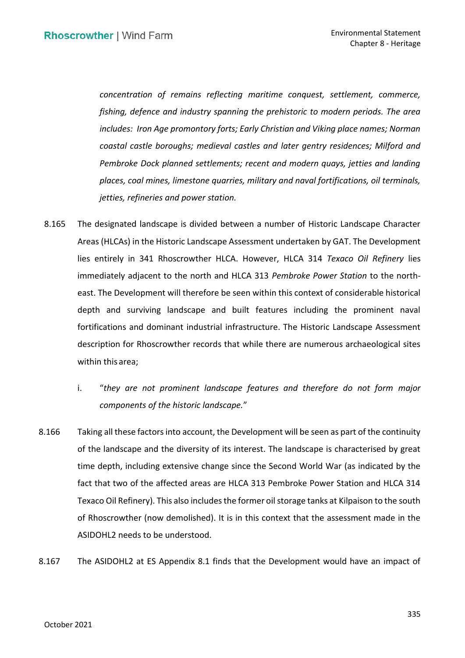*concentration of remains reflecting maritime conquest, settlement, commerce, fishing, defence and industry spanning the prehistoric to modern periods. The area includes: Iron Age promontory forts; Early Christian and Viking place names; Norman coastal castle boroughs; medieval castles and later gentry residences; Milford and*  Pembroke Dock planned settlements; recent and modern quays, jetties and landing *places, coal mines, limestone quarries, military and naval fortifications, oil terminals, jetties, refineries and power station.* 

- 8.165 The designated landscape is divided between a number of Historic Landscape Character Areas (HLCAs) in the Historic Landscape Assessment undertaken by GAT. The Development immediately adjacent to the north and HLCA 313 *Pembroke Power Station* to the north- east. The Development will therefore be seen within this context of considerable historical depth and surviving landscape and built features including the prominent naval fortifications and dominant industrial infrastructure. The Historic Landscape Assessment description for Rhoscrowther records that while there are numerous archaeological sites lies entirely in 341 Rhoscrowther HLCA. However, HLCA 314 *Texaco Oil Refinery* lies within this area;
	- i. "*they are not prominent landscape features and therefore do not form major components of the historic landscape.*"
- 8.166 Taking all these factors into account, the Development will be seen as part of the continuity of the landscape and the diversity of its interest. The landscape is characterised by great time depth, including extensive change since the Second World War (as indicated by the fact that two of the affected areas are HLCA 313 Pembroke Power Station and HLCA 314 Texaco Oil Refinery). This also includes the former oil storage tanks at Kilpaison to the south of Rhoscrowther (now demolished). It is in this context that the assessment made in the ASIDOHL2 needs to be understood.
- 8.167 The ASIDOHL2 at ES Appendix 8.1 finds that the Development would have an impact of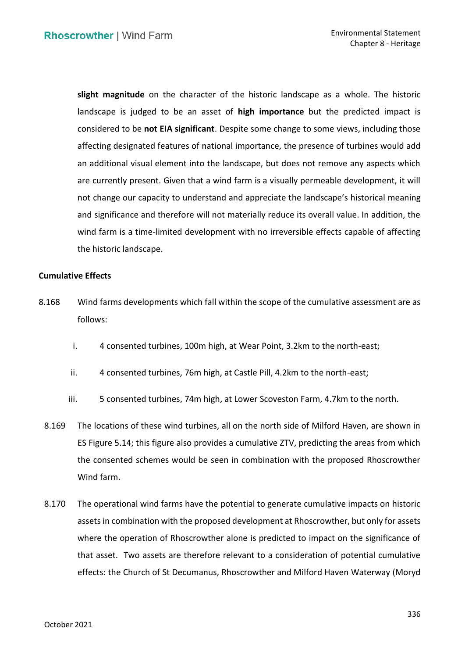**slight magnitude** on the character of the historic landscape as a whole. The historic landscape is judged to be an asset of **high importance** but the predicted impact is considered to be **not EIA significant**. Despite some change to some views, including those affecting designated features of national importance, the presence of turbines would add an additional visual element into the landscape, but does not remove any aspects which are currently present. Given that a wind farm is a visually permeable development, it will not change our capacity to understand and appreciate the landscape's historical meaning and significance and therefore will not materially reduce its overall value. In addition, the wind farm is a time-limited development with no irreversible effects capable of affecting the historic landscape.

# **Cumulative Effects**

- 8.168 Wind farms developments which fall within the scope of the cumulative assessment are as follows:
	- i. 4 consented turbines, 100m high, at Wear Point, 3.2km to the north-east;
	- ii. 4 consented turbines, 76m high, at Castle Pill, 4.2km to the north-east;
	- iii. 5 consented turbines, 74m high, at Lower Scoveston Farm, 4.7km to the north.
	- 8.169 The locations of these wind turbines, all on the north side of Milford Haven, are shown in the consented schemes would be seen in combination with the proposed Rhoscrowther Wind farm. ES Figure 5.14; this figure also provides a cumulative ZTV, predicting the areas from which
- assets in combination with the proposed development at Rhoscrowther, but only for assets where the operation of Rhoscrowther alone is predicted to impact on the significance of that asset. Two assets are therefore relevant to a consideration of potential cumulative effects: the Church of St Decumanus, Rhoscrowther and Milford Haven Waterway (Moryd 8.170 The operational wind farms have the potential to generate cumulative impacts on historic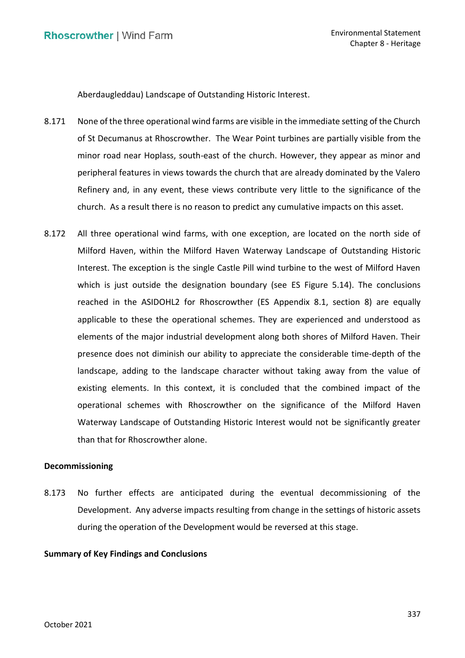Aberdaugleddau) Landscape of Outstanding Historic Interest.

- 8.171 None of the three operational wind farms are visible in the immediate setting of the Church of St Decumanus at Rhoscrowther. The Wear Point turbines are partially visible from the minor road near Hoplass, south-east of the church. However, they appear as minor and peripheral features in views towards the church that are already dominated by the Valero Refinery and, in any event, these views contribute very little to the significance of the church. As a result there is no reason to predict any cumulative impacts on this asset.
- 8.172 All three operational wind farms, with one exception, are located on the north side of Milford Haven, within the Milford Haven Waterway Landscape of Outstanding Historic Interest. The exception is the single Castle Pill wind turbine to the west of Milford Haven which is just outside the designation boundary (see ES Figure 5.14). The conclusions reached in the ASIDOHL2 for Rhoscrowther (ES Appendix 8.1, section 8) are equally applicable to these the operational schemes. They are experienced and understood as elements of the major industrial development along both shores of Milford Haven. Their presence does not diminish our ability to appreciate the considerable time-depth of the landscape, adding to the landscape character without taking away from the value of existing elements. In this context, it is concluded that the combined impact of the operational schemes with Rhoscrowther on the significance of the Milford Haven Waterway Landscape of Outstanding Historic Interest would not be significantly greater than that for Rhoscrowther alone.

# **Decommissioning**

 8.173 No further effects are anticipated during the eventual decommissioning of the Development. Any adverse impacts resulting from change in the settings of historic assets during the operation of the Development would be reversed at this stage.

# **Summary of Key Findings and Conclusions**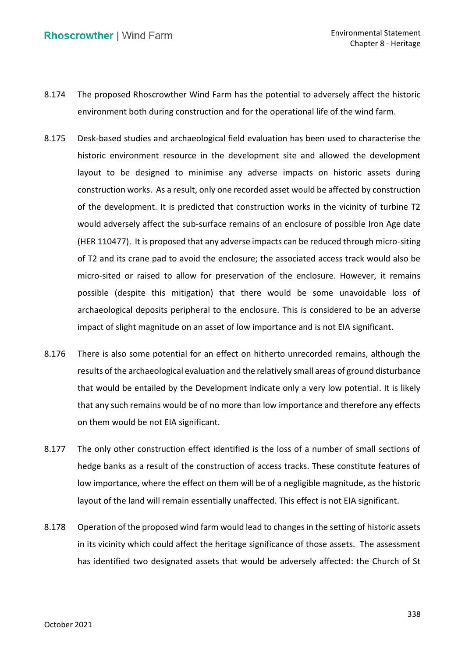- 8.174 The proposed Rhoscrowther Wind Farm has the potential to adversely affect the historic environment both during construction and for the operational life of the wind farm.
- 8.175 Desk-based studies and archaeological field evaluation has been used to characterise the historic environment resource in the development site and allowed the development layout to be designed to minimise any adverse impacts on historic assets during construction works. As a result, only one recorded asset would be affected by construction of the development. It is predicted that construction works in the vicinity of turbine T2 would adversely affect the sub-surface remains of an enclosure of possible Iron Age date (HER 110477). It is proposed that any adverse impacts can be reduced through micro-siting of T2 and its crane pad to avoid the enclosure; the associated access track would also be micro-sited or raised to allow for preservation of the enclosure. However, it remains possible (despite this mitigation) that there would be some unavoidable loss of archaeological deposits peripheral to the enclosure. This is considered to be an adverse impact of slight magnitude on an asset of low importance and is not EIA significant.
- 8.176 There is also some potential for an effect on hitherto unrecorded remains, although the results of the archaeological evaluation and the relatively small areas of ground disturbance that would be entailed by the Development indicate only a very low potential. It is likely that any such remains would be of no more than low importance and therefore any effects on them would be not EIA significant.
- 8.177 The only other construction effect identified is the loss of a number of small sections of hedge banks as a result of the construction of access tracks. These constitute features of low importance, where the effect on them will be of a negligible magnitude, as the historic layout of the land will remain essentially unaffected. This effect is not EIA significant.
- 8.178 Operation of the proposed wind farm would lead to changes in the setting of historic assets in its vicinity which could affect the heritage significance of those assets. The assessment has identified two designated assets that would be adversely affected: the Church of St